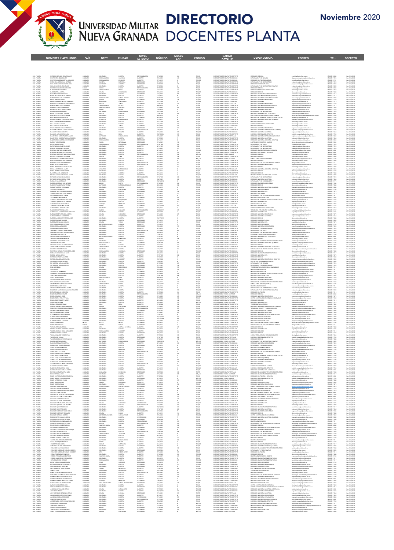

П

## DIRECTORIO DOCENTES PLANTA

|                                                                                                                            | <b>NOMBRES Y APELLIDOS</b>                                                                                                                                                                  | <b>PAÍS</b>                                              | DEPT.                                                                                                        | <b>CIUDAD</b>                                            | <b>NIVEL</b><br><b>ESTUDIO</b>                                                                       | <b>NÓMINA</b>                                                        | <b>MESES</b><br><b>EXP</b>                      | <b>CÓDIGO</b>                                                                          | CARGO<br><b>DETALLE</b>                                                                                                                       | <b>DEPENDENCIA</b>                                                                                                                                                                             | <b>CORREO</b>                                                                                                                                                                                                                                    | <b>TEL.</b>                                                                                                                                      | <b>DECRETO</b>                                                                                                      |
|----------------------------------------------------------------------------------------------------------------------------|---------------------------------------------------------------------------------------------------------------------------------------------------------------------------------------------|----------------------------------------------------------|--------------------------------------------------------------------------------------------------------------|----------------------------------------------------------|------------------------------------------------------------------------------------------------------|----------------------------------------------------------------------|-------------------------------------------------|----------------------------------------------------------------------------------------|-----------------------------------------------------------------------------------------------------------------------------------------------|------------------------------------------------------------------------------------------------------------------------------------------------------------------------------------------------|--------------------------------------------------------------------------------------------------------------------------------------------------------------------------------------------------------------------------------------------------|--------------------------------------------------------------------------------------------------------------------------------------------------|---------------------------------------------------------------------------------------------------------------------|
|                                                                                                                            |                                                                                                                                                                                             |                                                          |                                                                                                              |                                                          |                                                                                                      |                                                                      |                                                 |                                                                                        |                                                                                                                                               |                                                                                                                                                                                                |                                                                                                                                                                                                                                                  |                                                                                                                                                  |                                                                                                                     |
|                                                                                                                            |                                                                                                                                                                                             |                                                          |                                                                                                              |                                                          |                                                                                                      |                                                                      |                                                 |                                                                                        |                                                                                                                                               |                                                                                                                                                                                                |                                                                                                                                                                                                                                                  |                                                                                                                                                  |                                                                                                                     |
|                                                                                                                            |                                                                                                                                                                                             |                                                          |                                                                                                              |                                                          |                                                                                                      |                                                                      |                                                 |                                                                                        |                                                                                                                                               |                                                                                                                                                                                                |                                                                                                                                                                                                                                                  |                                                                                                                                                  |                                                                                                                     |
|                                                                                                                            |                                                                                                                                                                                             |                                                          |                                                                                                              |                                                          |                                                                                                      |                                                                      |                                                 |                                                                                        |                                                                                                                                               |                                                                                                                                                                                                |                                                                                                                                                                                                                                                  |                                                                                                                                                  |                                                                                                                     |
| DOC PLANTA<br>DOC PLANTA<br>DOC PLANTA<br>DOC PLANTA<br>DOC PLANTA<br>DOC PLANTA<br>DOC PLANTA<br>DOC PLANTA<br>DOC PLANTA | ACERO MONDRAGON EDWARD JAVIER<br>ACOSTA NIÑO GEMA EUNICE<br>ACOSTA SAHAMUEL MARTHA GIOVANNA<br>ACUÑA COLLAZOS JULIAN ALFONSO<br>ACUÑA GELLAZOS JULIAN ALFONSO<br>ACUR AR ENVINTE VIVIN FANO | COLOMBIA<br>COLOMBIA<br>COLOMBIA<br>COLOMBIA<br>COLOMBIA | DOGOTA D.C.                                                                                                  | BOGOTA<br>GUAYABAL<br>ZIPAQUIRA<br>FLORENCIA             | ESPECIALIZACIÓ                                                                                       | 7/16/2011<br>7/8/2008<br>9/1/2015<br>8/1/2016                        | $\begin{array}{c} 124 \\ 148 \\ 63 \end{array}$ | TC ASD<br>TC ASD<br>TC ASD<br>TC ASD<br>TC ASD<br>TC ASD<br>TC ASD<br>TC ASD<br>TC ASD | DOCENTE TEMPO COMPLETO ASISTENTE<br>DOCENTE TEMPO COMPLETO ASOCIADO<br>DOCENTE TEMPO COMPLETO ASISTENTE<br>DOCENTE TEMPO COMPLETO ASISTENTE   | PREGRADO MEDICINA<br>DEPARTAMENTO DE QUIMICA<br>PREGRADO CONTADURIA(CAMPUS)<br>DEPARTAMENTO DE MATEMATICAS                                                                                     | ltar edu co                                                                                                                                                                                                                                      | $\begin{array}{r} 6\,500000\cdot 2040 \\ 6\,500000\cdot 1526 \\ 6\,500000\cdot 2191 \\ 6\,500000\cdot 1520 \\ \end{array}$                       | Dec. 210/2020<br>Dec. 210/2020<br>Dec. 210/2020<br>Dec. 210/2020                                                    |
|                                                                                                                            |                                                                                                                                                                                             |                                                          | CUNDINAMARCA<br>CUNDINAMARCA<br>CAQUETA                                                                      |                                                          | MAGISTER<br>MAGISTER<br>DOCTORADO                                                                    |                                                                      |                                                 |                                                                                        |                                                                                                                                               |                                                                                                                                                                                                | i musica que a serie a guerra de la contrata de la contrata de la contrata de la contrata de la contrata de la<br>contrata de la contrata de la contrata de la contrata de la contrata de la contrata de la contrata de la contra                |                                                                                                                                                  |                                                                                                                     |
|                                                                                                                            | AGUILAR SANCHEZ JOHN FABIO<br>AGURRE DAVILA GYDNEA LOURDES                                                                                                                                  |                                                          | SANTANOER<br>DOGOTA D.C.<br><b>DOLIVIA</b>                                                                   | SOCORRO<br>DOGOTA<br>DOLIVIA                             | DOCTORADO<br>MAGISTER<br>ESPECIALIZACIÓ                                                              | 7/15/2008<br>1/18/2016<br>1/19/201                                   |                                                 |                                                                                        | DOCENTE TIEMPO COMPLETO ASISTENTI<br>DOCENTE TIEMPO COMPLETO ASISTENTI<br>DOCENTE TIEMPO COMPLETO ASISTENTI                                   | PREGRADO BIOLOGIA APLICADA<br>DEPARTAMENTO DE MATEMATICAS (CAMPUS)<br>PREGRADO MEDICINA                                                                                                        | nedicina@unimilitar.edu.co                                                                                                                                                                                                                       |                                                                                                                                                  | Dec. 310/2020<br>Dec. 310/2020<br>Dec. 310/2020                                                                     |
|                                                                                                                            | ALARCON DIAZ JOSE ISMAEL<br>ALARCON PEÑA ANDREA                                                                                                                                             | COLOMBIA<br>BOLINA<br>COLOMBIA<br>COLOMBIA               | CUNDINAMARCA<br>BOYACA                                                                                       | <b>UBATE</b><br>ORQUNQUR                                 | MAGISTER<br>DOCTORADO                                                                                | 7/17/201<br>7/3/2012                                                 |                                                 |                                                                                        | DOCENTE TIEMPO COMPLETO ASISTENTE<br>DOCENTE TIEMPO COMPLETO ASOCIADO                                                                         | DIVISION DE BIENESTAR UNIVERSITARIO<br>PREGRADO DERECHO                                                                                                                                        | bienestar@unimilitar.edu.co<br>derecho@unimilitar.edu.co                                                                                                                                                                                         | $\begin{array}{r} 6500000 - 2085 \\ 6500000 - 2055 \\ 6500000 - 2048 \\ 6500000 - 1060 \\ 6500000 - 1044 \\ 6500000 - 1244 \\ \dots \end{array}$ | Dec. 210/2020<br>Dec. 210/2020                                                                                      |
| DOC. PLANTA<br>DOC. PLANTA<br>DOC. PLANTA                                                                                  | ALEMAN RAMIREZ FERNANDO<br>ALMANZA JUNCO CARLOS ALBERTO                                                                                                                                     | <b>COLOMBIA</b><br><b>COLOMBIA</b>                       | BOGOTA D.C.<br>DOGOTA D.C.                                                                                   | DOGOTA<br><b>DOGOTA</b>                                  | DOCTORADO<br>MAGISTER                                                                                | 7/3/2003<br>2/1/2017                                                 | 209                                             | TC_ASI<br>TC_ASC                                                                       | DOCENTE TIEMPO COMPLETO ASISTENTI<br>DOCENTE TIEMPO COMPLETO ASOCIADO                                                                         | PREGRADO ADMINISTRACION DE EMPRESAS<br>PREGRADO ADMON DE EMPRESAS (CAMPUS)                                                                                                                     | administracion@unimilitar.edu.co<br>administracion@unimilitar.edu.co                                                                                                                                                                             | 6500000 - 1317<br>6500000 - 1317                                                                                                                 | Dec. 310/2020<br>Dec. 310/2020                                                                                      |
| <b>DOC. PLANTA</b>                                                                                                         | ALVES NOREÑA ALBA CATHERINE<br>AMAYA HURTADO DARIO                                                                                                                                          | VINEZUELA<br><b>COLOMBIA</b>                             | <b>ESTADO TACHIRA</b><br>QUINDIO                                                                             | CARTAL TACHER<br>QUIMBAYA                                | MAGISTER<br>DOCTORADO                                                                                | 1/15/2008<br>1/18/2006                                               | 154<br>171                                      | TC_ASC<br>TC_ASC                                                                       | DOCENTE TIEMPO COMPLETO ASOCIADO<br>DOCENTE TIEMPO COMPLETO ASOCIADO                                                                          | PREGRADO ADMON DE LA SEGURIDAD CAMPUS<br>PREGRADO INGENERIA MECATRONICA                                                                                                                        | asso.campus@unimilitar.edu.co<br>Ingmecatronica@unimilitar.edu.co                                                                                                                                                                                | 6500000 - 3093<br>6500000 - 1274                                                                                                                 | Dec. 310/2020<br>Dec. 310/2020                                                                                      |
| <b>DOC. PLANTA</b><br><b>DOC. PLANTA</b>                                                                                   | ANGULO CAMARGO MILTON FERNANDO<br>APERADOR CHAPARRO WILLIAN ARNULFC                                                                                                                         | <b>COLOMBIA</b><br><b>COLOMBIA</b>                       | MAGDALENA<br><b>BOYACA</b>                                                                                   | SANTA MARTA<br><b>TUNJA</b>                              | MAGISTER<br>DOCTORADO                                                                                | 1/27/2020<br>7/16/2010                                               | 124                                             | TC_ALD<br>re m                                                                         | DOCENTE TIEMPO COMPLETO AUXILIAR<br>DOCENTE TIEMPO COMPLETO TITULAR                                                                           | PREGRADO ECONOMIA<br>PREGRADO INGENIERIA MECATRONICA                                                                                                                                           | conomia@unimiltar.edu.co                                                                                                                                                                                                                         | 6500000 - 1318<br>6500000 - 1274                                                                                                                 | Dec. 310/2020<br>Dec. 210/2020                                                                                      |
| <b>DOC. PLANTA</b><br><b>DOC. PLANTA</b>                                                                                   | APONTE CHIRIN DEGO ORLANDO<br>ARANZAZU LOPEZ CARLOS UREL                                                                                                                                    | <b>COLOMBIA</b><br><b>COLOMBIA</b>                       | CUNDINAMARCA<br>VALLE DEL CAUCA                                                                              | DOJACA<br>CARTAGO                                        | MAGISTER<br>MAGISTER                                                                                 | 8/6/2018<br>7/1/2005                                                 | 28<br>165                                       | TC_ASI<br>TC_ASI                                                                       | DOCENTE TIEMPO COMPLETO ASISTENTE<br>DOCENTE TIEMPO COMPLETO ASISTENTE                                                                        | PREGRADO ADMON DE EMPRESAS (CAMPUS)<br>PREGRADO INGENIERIA EN MULTIMEDIA                                                                                                                       | ingmecatronica@unimilitar.edu.co<br>administracion@unimilitar.edu.co<br>ngmultimedia@unimilitar.edu.cc                                                                                                                                           | 6500000 - 1317<br>6500000 - 1292                                                                                                                 | Dec. 210/2020<br>Dec. 310/2020                                                                                      |
| <b>DOC. PLANTA</b><br>CC. PLANTA                                                                                           | ARCINEGAS ORTIZ JAIME ALFONSO<br>ARENAS NAVARRO ISNARDO                                                                                                                                     | <b>COLOMBIA</b><br><b>COLOMBIA</b>                       | TOLIMA<br>SANTANDER                                                                                          | BAGUE<br><b>EUCARAMANGA</b>                              | MAGISTER<br>DOCTORADO                                                                                | 2/5/2014<br>1/27/2020                                                | 82                                              | TC_ASC<br>TC_ALD                                                                       | DOCENTE TIEMPO COMPLETO ASOCIADO<br>DOCENTE TIEMPO COMPLETO AUXILIAR                                                                          | PREGRADO INGENIERIA INDUSTRIAL<br>DEPARTAMENTO DE MATEMATICAS                                                                                                                                  | ngindustrial@unimilitar.edu.co<br>ratematic as@unimilitar.edu.co                                                                                                                                                                                 | 6500000 - 1264<br>6500000 - 1520                                                                                                                 | Dec. 310/2020<br>Dec. 310/2020                                                                                      |
| <b>DOC. PLANTA</b>                                                                                                         | AREVALO DAZA CAROL EUGENIA                                                                                                                                                                  | <b>COLOMBIA</b>                                          | <b>BOYACA</b>                                                                                                | GARAGOA                                                  | MAGISTER                                                                                             | 7/18/2005                                                            | 184                                             | TC_AS                                                                                  | DOCENTE TIEMPO COMPLETO ASISTENTI                                                                                                             | PREGRADO INGENIERIA CIVIL A DISTANCIA                                                                                                                                                          | colatancia@unimilitar.edu.co                                                                                                                                                                                                                     | 7400333 - 6841                                                                                                                                   | Dec. 210/2020                                                                                                       |
| DOC PLANTA<br>DOC PLANTA<br>DOC PLANTA<br>DOC PLANTA                                                                       | PREVIOUS CAMED ENRIQUE<br>ARGOTY PULIDO CAMED ENRIQUE<br>ARGOTY PULIDO CAMED ENRIQUE<br>ANTLA VARGAS MARIA ESPERANZA<br>ANTLIA VARGAS MARIA ESPERANZA                                       | COLOMEIA<br>COLOMEIA<br>COLOMEIA                         | BOGOTA D.C.<br>BOGOTA D.C.<br>ATLANTICO<br>BOGOTA D.C.                                                       | ECGOTA<br>ECGOTA                                         | MAGISTER<br>DOCTORADE<br>MAGISTER<br>MAGISTER                                                        | 8/6/2018<br>6/6/2018<br>2/1/2017<br>1/17/2000                        |                                                 | TC_TT<br>TC_AS<br>TC_AS<br>TC_AS                                                       | DOCENTE TEMPO COMPLETO TITULAR<br>DOCENTE TEMPO COMPLETO AGISTENTE<br>DOCENTE TEMPO COMPLETO AGISTENTE<br>DOCENTE TEMPO COMPLETO AGISTENTE    | PREMINU MAINEAR CIVIL A DEI ROCH<br>DOCTORADO EN CINICAS AFUCANAS - CAMPUS<br>PREGRADO EN ACIONES INTER Y ESTUDIOS POLITICOS<br>PREGRADO INGENIERA INDUSTRAL (CAMPUS)<br>PREGRADO MEDICINA     | numerungummen eus co<br>doctorada cierciassplicadas@unimilt<br>ingenietis.campus@unimiltar.edu.co<br>medicina@unimiltar.edu.co                                                                                                                   | -<br>6500000 - 2203<br>6500000 - 1344<br>6500000 - 2045<br>6500000 - 2048                                                                        | Dec. 210/2020<br>Dec. 210/2020<br>Dec. 210/2020<br>Dec. 210/2020                                                    |
|                                                                                                                            |                                                                                                                                                                                             |                                                          |                                                                                                              | BARRANQUILLA<br>BOGOTA                                   |                                                                                                      |                                                                      | 46<br>250                                       |                                                                                        |                                                                                                                                               |                                                                                                                                                                                                |                                                                                                                                                                                                                                                  |                                                                                                                                                  |                                                                                                                     |
| DOC. PLANTA<br>DOC. PLANTA                                                                                                 | AVE A CHACON LUZ DARY<br>AVEA MORALES JUAN CARLOS                                                                                                                                           | <b>COLOMBIA</b><br><b>COLOMBIA</b>                       | DOGOTA D.C.<br><b>BOYACA</b>                                                                                 | DOGOTA<br><b>TUNJA</b>                                   | MAGISTER<br>DOCTORADO                                                                                | 2/1/1995<br>5/2/2003                                                 | $\frac{210}{211}$                               | TC_ASI<br>TC_ASO                                                                       | DOCENTE TIEMPO COMPLETO ASISTENTE<br>DOCENTE TIEMPO COMPLETO ASOCIADO                                                                         | DIVISION DE BENESTAR UNIVERSITARIO<br>PREGRADO MEDICINA                                                                                                                                        | bienestanjiunimilitar.edu.co<br>nedicina@unimilitar.edu.co                                                                                                                                                                                       | 6500000 - 1060<br>6500000 - 2048                                                                                                                 | Dec. 210/2020<br>Dec. 210/2020                                                                                      |
| DOC. PLANTA<br>DOC. PLANTA                                                                                                 | AVILES SANCHEZ OSCAR FERNANDO<br>BAHAMON CARDONA CARLOS AUGUSTO                                                                                                                             | COLOMBIA<br>COLOMBIA                                     | <b>DOGOTA D.C.</b><br>DOGOTA D.C.<br>HULA<br>HULA                                                            | BOGOTA<br>BOGOTA                                         | DOCTORADO                                                                                            | 3/16/1998<br>7/6/2015<br>3/1/2004<br>10/15/200                       | 272<br>65                                       | TC_TIT<br>TC_ASI<br>TC_ASI<br>TC_ASI<br>TC_ASI<br>TC_ASI                               | DOCENTE TIEMPO COMPLETO TITULAR<br>DOCENTE TIEMPO COMPLETO ASISTENTE                                                                          | PREGRADO INGENERIA MECATRONICA<br>PREGRADO INGENERIA DE MULTIMEDIA (CAMPUS)<br>PREGRADO INGENERIA INGUSTRIAL<br>DIRECCION GESTION ADMINISTRATIVA                                               | menomaguammina e au co<br>Ingenienia campasiĝurimilitar edu co<br>Ingenienia campasiĝurimilitar edu co<br>Ingindiantiniĝurimilitar edu co<br>Ingindiantiniĝurimilitar edu co<br>Ingindiantiniĝurimilitar edu co<br>Ingindiantiniĝurimilitar edu  | 6500000-1279<br>6500000-2247                                                                                                                     | Dec. 310/2020<br>Dec. 310/2020<br>Dec. 310/2020<br>Dec. 310/2020<br>Dec. 310/2020<br>Dec. 310/2020<br>Dec. 310/2020 |
| DOC PLANTA<br>DOC PLANTA<br>DOC PLANTA<br>DOC PLANTA                                                                       | BRHANDIN CHISSINA CHOISTO<br>BAHANDIN JARA MARTHA LUCUA<br>BALLESTEROS LARROTTA DORA MARIA<br>BALLESTEROS RIVEROS FRANK ALEXANDER<br>BALLESTEROS RIVEROS FRANK ALEXANDER                    | COLOMBIA                                                 |                                                                                                              | PITALITO<br>NEWA                                         | DOCTORADO<br>ESPECIALIZACION<br>MAGISTER<br>DOCTORADO<br>MAGISTER<br>MAGISTER<br>MAGISTER            |                                                                      |                                                 |                                                                                        | DOCENTE TEMPO COMPLETO ASSONO<br>DOCENTE TEMPO COMPLETO ASSTENTE<br>DOCENTE TEMPO COMPLETO TITULAR<br>DOCENTE TEMPO COMPLETO ASSTENTE         |                                                                                                                                                                                                |                                                                                                                                                                                                                                                  | 4500000 - 3246<br>4500000 - 1264<br>4500000 - 1733                                                                                               |                                                                                                                     |
|                                                                                                                            |                                                                                                                                                                                             |                                                          | SANTANDER<br>BOGOTA D.C.                                                                                     | EUCARAMANGA<br>EOGOTA                                    |                                                                                                      | 3/1/2007<br>1/13/2015                                                | 201<br>102<br>165<br>70                         |                                                                                        |                                                                                                                                               | PREGRADO INGENERIA DE TELECOMUNICACIONES<br>PREGRADO INGENERIA INDUSTRIAL                                                                                                                      |                                                                                                                                                                                                                                                  | 6500000 - 1282<br>6500000 - 1264                                                                                                                 |                                                                                                                     |
| DOC. PLANTA<br>DOC. PLANTA                                                                                                 | BAQUERO RODRIGUEZ GUSTAVO ANDRES                                                                                                                                                            | <b>COLOMBIA</b>                                          | CUNDINAMARCA                                                                                                 | ZIPAQUIRA                                                | DOCTORADO                                                                                            | 2/1/2017                                                             | 118                                             | TC_ASI                                                                                 | DOCENTE TIEMPO COMPLETO ASISTENTE                                                                                                             | PREGRADO INGENIERIA AMBIENTAL (CAMPUS)                                                                                                                                                         | ing ambiental@unimilitar.edu.co<br>doctorado bioetica@unimilitar.edu.co                                                                                                                                                                          | 6500000 - 3008                                                                                                                                   | Dec. 310/2020                                                                                                       |
| DOC. PLANTA<br>DOC. PLANTA                                                                                                 | DOMARDS TAO HERMANDO<br>ORAL AZZA AT2/TUAB                                                                                                                                                  | <b>COLOMBIA</b><br><b>COLOMBIA</b>                       | TOLIMA.<br>CUNDINAMARCA                                                                                      | <b>NATAGAIMA</b><br><b>GUAYABETAL</b>                    | DOCTORADO<br>ESPECIALIZADOR                                                                          | 1/14/2011<br>9/16/1999                                               | 254<br>210                                      | TC_TIT                                                                                 | DOCENTE TIEMPO COMPLETO TITULAR<br>DOCENTE TIEMPO COMPLETO ASISTENTI                                                                          | DOCTORADO EN BIOETICA - CAMPUS<br>DEPARTAMENTO DE FISICA                                                                                                                                       | tsica@unimilitar.edu.co                                                                                                                                                                                                                          | 6500000 - 3002<br>6500000 - 1522                                                                                                                 | Dec. 310/2020                                                                                                       |
|                                                                                                                            | BAUTISTA SILVA GLADYS LEONOR                                                                                                                                                                | <b>COLOMBIA</b>                                          | BOGOTA D.C.                                                                                                  | BOGOTA<br>BOGOTA                                         | MAGISTER<br>MAGISTER<br>MAGISTER<br>MAGISTER                                                         | 2/1/1995                                                             |                                                 | TC ASI<br>TC ASI<br>TC ASI<br>TC ASI<br>TC ASI<br>TC ASI<br>MT ALIX                    | DOCENTE TIEMPO COMPLETO ASISTENTI                                                                                                             | DEPARTAMENTO DE MATEMATICAS                                                                                                                                                                    | fisica@unimilitar.edu.co<br>maternaticas@unimilitar.edu.co<br>maternaticas@unimilitar.edu.co<br>asso.distracia@unimilitar.edu.co<br>cpdistracia@unimilitar.edu.co<br>medicina@unimilitar.edu.co                                                  | 6500000-1520<br>6500000 - 1520<br>6500000 - 1520<br>7400222 - 6841                                                                               | Dec. 310/2020<br>Dec. 310/2020<br>Dec. 310/2020<br>Dec. 310/2020<br>Dec. 310/2020<br>Dec. 310/2020<br>Dec. 310/2020 |
| DOC PLANTA<br>DOC PLANTA<br>DOC PLANTA<br>DOC PLANTA                                                                       | MOUSING MARKWANDA WELLIAM<br>BELARANO BELTRAN JUAN KRNADO<br>BELARANO NAVARRO HECTOR DAVID<br>BELARANO RODRIGUEZ MARCOS ANTONO                                                              | COLOMEIA<br>COLOMEIA<br>COLOMEIA                         | BOGOTA D.C.<br>BOGOTA D.C.<br>BOGOTA D.C.<br>BOGOTA D.C.                                                     |                                                          |                                                                                                      | 2/1/2001<br>2/1/2001<br>2/1/2005<br>6/1/2010                         |                                                 |                                                                                        | DOCENTE TEMPO COMPLETO ASSTENTE<br>DOCENTE TEMPO COMPLETO ASSTENTE<br>DOCENTE TEMPO COMPLETO ASSTENTE<br>DOCENTE MEDIO TEMPO AUGLIAR          | GEPRIT AMENTO DE MATEMATICAS<br>ESPARTAMENTO DE MATEMATICAS<br>PREGRADO ADMON SEGURIDAD A DETANCIA<br>PREGRADO MEDICINA                                                                        |                                                                                                                                                                                                                                                  |                                                                                                                                                  |                                                                                                                     |
|                                                                                                                            | BELTRAN CASAS ORIETTA IVONNE                                                                                                                                                                | <b>COLOMBIA</b>                                          | <b>ARAUCA</b>                                                                                                | DOGOTA<br>DOGOTA<br>TAME                                 | MAGISTER<br>ESPECIALIZACIÓN<br>MAGISTER                                                              | 0/2/2009                                                             | 190<br>126                                      |                                                                                        | DOCENTE TIEMPO COMPLETO ASISTENTE                                                                                                             | PREGRADO MEDICINA                                                                                                                                                                              | medicina@unimilitar.edu.co                                                                                                                                                                                                                       | 7400333 - 6841<br>6500000 - 2048                                                                                                                 |                                                                                                                     |
| DOC. PLANTA<br>DOC. PLANTA                                                                                                 | BENAVIDES VILLAMARIN CLARA JUDITH<br>BENITEZ CARDENAS LUISA FERNANDA                                                                                                                        | <b>COLOMBIA</b>                                          | BOGOTA D.C.                                                                                                  | <b>DOGOTA</b><br><b>BOGOTA</b>                           | MAGISTER<br>MAGISTER                                                                                 | 3/1/2007                                                             | 136<br>165                                      | TC_ASI<br>MT_ASO                                                                       | DOCENTE MEDIO TIEMPO ASOCIADO                                                                                                                 | CONSULTORIO ATENCION PRIMARIA<br>AMIDIARIO MEDICINA                                                                                                                                            | atencion primaria (junimilitar edu co                                                                                                                                                                                                            | 6500000 - 2048<br>6500000 - 2197                                                                                                                 | Dec. 310/2020<br>Dec. 310/2020                                                                                      |
| DOC. PLANTA<br>DOC. PLANTA                                                                                                 | DERMUDEZ MEJIA JORGE ANTONIO                                                                                                                                                                | COLOMBIA                                                 | BOGOTA D.C.<br>BOGOTA D.C.                                                                                   | BOGOTA                                                   | MAGETER<br>ESPECIALIZACION<br>ESPECIALIZACION<br>MAGETER<br>MAGETER<br>MAGETER<br>MAGETER<br>MAGETER | 4/6/2015<br>1/3/2008<br>1/1/2009<br>6/4/2002<br>8/1/2017<br>7/1/2016 | 68<br>153                                       | 10,49<br>TC,49<br>TC,49<br>TC,49<br>TC,49<br>TC,49                                     | DOCENTE TEMPO COMPLETO ASISTENTE<br>DOCENTE TEMPO COMPLETO ASISTENTE                                                                          | DEPARTAMENTO DE ESTUDIOS INTERCULTURALES                                                                                                                                                       | medicina@unimilitar.edu.co<br>dein@unimilitar.edu.co<br>ingmecatronica@unimilitar.edu.co<br>medicina@unimilitar.edu.co                                                                                                                           | 6500000 - 2048<br>6500000 - 1211                                                                                                                 | Dec. 310/2020<br>Dec. 310/2020<br>Dec. 310/2020<br>Dec. 310/2020<br>Dec. 310/2020<br>Dec. 310/2020<br>Dec. 310/2020 |
| -<br>DOC PLANTA<br>DOC PLANTA<br>DOC PLANTA                                                                                | <b>BERNAL ACERD LUS HORACIO<br/>BERNAL BERMUDEZ CLAUDIA LILIANA<br/>BERNAL LOPEZ OSCAR JAVAER<br/>BERNAL RAMBEZ EDWIN JESTH</b>                                                             | COLOMBIA                                                 | BOGOTA D.C.<br>BOGOTA D.C.<br>ATLANTICO<br>BOGOTA D.C.                                                       | ECGOTA<br>ECGOTA                                         |                                                                                                      |                                                                      | 227<br>222<br>40<br>53                          |                                                                                        | DOCENTE TEMPO COMPLETO ASISTENTE<br>DOCENTE TEMPO COMPLETO ASISTENTE<br>DOCENTE TEMPO COMPLETO ASISTENTE<br>DOCENTE TEMPO COMPLETO ASISTENTE  | -<br>PREGRADO INGENIERIA MECATRONICA<br>PREGRADO MEDICINA                                                                                                                                      |                                                                                                                                                                                                                                                  | 0300000 - 1271<br>6500000 - 1279<br>6500000 - 2048<br>6500000 - 1244                                                                             |                                                                                                                     |
|                                                                                                                            |                                                                                                                                                                                             |                                                          |                                                                                                              | BARRANQUILLA<br>BOGOTA                                   |                                                                                                      |                                                                      |                                                 |                                                                                        |                                                                                                                                               | PREGRADO MEDICINA<br>PREGRADO INGENIERIA AMBIENTAL (CAMPUS)<br>PREGRADO DERECHO                                                                                                                | ing ambiental@unimilitar.edu.co<br>derecho@unimilitar.edu.co                                                                                                                                                                                     |                                                                                                                                                  |                                                                                                                     |
| DOC. PLANTA<br>DOC. PLANTA                                                                                                 | BLANCO BLANCO JACQUELINE<br>BRICEÑO ZULUAGA FRANCISCO JAVIER                                                                                                                                | <b>COLOMBIA</b><br><b>COLOMBIA</b>                       | SANTANDER<br>BOGOTA D.C.                                                                                     | SOCORRO<br>DOGOTA                                        | MAGISTER<br>DOCTORADO                                                                                | 5/1/2012<br>8/1/2019                                                 |                                                 | TC_ASI<br>TC_ALD                                                                       | DOCENTE TIEMPO COMPLETO ASISTENTE<br>DOCENTE TIEMPO COMPLETO AUXILIAR                                                                         | DIEGRADO DERECHO<br>MAESTRIA EN BIOLOGIA APLICADA - CAMPUS                                                                                                                                     | derecho@unimilitar.edu.co<br>post economia@unimilitar.edu.co                                                                                                                                                                                     | 6500000 - 1244<br>6500000 - 3009                                                                                                                 | Dec. 310/2020<br>Dec. 210/2020                                                                                      |
| DOC. PLANTA<br>DOC. PLANTA                                                                                                 | DUTRAGO ALEMAN MARIA ROCKO<br>BUITRAGO SUESCUN OSCAR YECID                                                                                                                                  | <b>COLOMBIA</b><br><b>COLOMBIA</b>                       | BOGOTA D.C.<br>BOGOTA D.C                                                                                    | <b>BOGOTA</b><br><b>BOGOTA</b>                           | ESPECIALIZADOR<br><b>MAGISTER</b>                                                                    | 3/16/1999<br>12/1/2011                                               | 260<br>100                                      | TC ASI<br>TC ASI<br>TC ASI<br>TC ASI<br>TC ASI<br>TC ASI                               | DOCENTE TIEMPO COMPLETO ASISTENTI<br>DOCENTE TIEMPO COMPLETO ASOCIADO                                                                         | DEPARTAMENTO DE MATEMATICAS<br><b>CONCOANDO INCENIEDIA INFIERENZIA</b>                                                                                                                         | ratematicas@unimilitar.edu.co<br>ngindushial@unimilitar.edu.co                                                                                                                                                                                   | 6500000-1520<br>6500000-1264                                                                                                                     | Dec. 310/2020<br>Dec. 310/2020<br>Dec. 310/2020<br>Dec. 310/2020<br>Dec. 310/2020<br>Dec. 310/2020<br>Dec. 310/2020 |
| DOC PLANTA<br>DOC PLANTA<br>DOC PLANTA<br>DOC PLANTA                                                                       | CHIRALIS SALAZAR OMAR<br>CHIRERA ALDORNOS LUS ALFREDO<br>CADRA AFANADOR WALTER RENE<br>CALDAS FLAUTERO OSCAR IVAN                                                                           | COLOMEIA<br>COLOMEIA<br>COLOMEIA                         | EGGOTA D.C.<br>NARINO                                                                                        | EGGOTA<br>EGGOTA<br>PASTO                                | DOCTORADO<br>ESPECIALIZACION<br>MAGISTER<br>MAGISTER                                                 | 12/1/avr 1<br>10/16/2012<br>1/16/2012<br>2/2/2004<br>7/7/2015        |                                                 |                                                                                        | DOCENTE TEMPO COMPLETO ASSCIADO<br>DOCENTE TEMPO COMPLETO ASSCIADO<br>DOCENTE TEMPO COMPLETO ASSCIADO<br>DOCENTE TEMPO COMPLETO ASSCIADO      | PRESINTO DE HUMANISADES<br>DEPARTAMENTO DE HUMANISADES<br>PRESINDO DERECHO<br>PRESINDO DERECHO<br>PRESINDO INSENIERA INDUSTRAL (CAMPUS)                                                        | hamanidades@unimiltar.edu.co<br>seguidad.integral@unimiltar.edu.co<br>derecho@unimilitar.edu.co<br>ingeniets.compus@unimilitar.edu.co                                                                                                            | 0300000-1204<br>6500000-2176<br>6500000-1246<br>6500000-2245                                                                                     |                                                                                                                     |
|                                                                                                                            |                                                                                                                                                                                             |                                                          | SANTANDER<br>BOGOTA D.C.                                                                                     | BARRANCABERMEJA<br>BOGOTA                                |                                                                                                      |                                                                      | 202<br>65                                       |                                                                                        |                                                                                                                                               |                                                                                                                                                                                                |                                                                                                                                                                                                                                                  |                                                                                                                                                  |                                                                                                                     |
| DOC. PLANTA<br>DOC. PLANTA                                                                                                 | CALLE MEZA MELBA LLC<br>CAMACHO TAUTA JAVIER FERNANDO                                                                                                                                       | <b>COLOMBIA</b><br><b>COLOMBIA</b>                       | DOLIVAR<br>BOGOTA D.C.                                                                                       | CARTAGENA<br>DOGOTA                                      | DOCTORADO<br>DOCTORADO                                                                               | 7/21/2014<br>4/1/2002                                                | 212                                             | TC_ASI<br>TC_TIT                                                                       | DOCENTE TIEMPO COMPLETO ASISTENTE<br>DOCENTE TIEMPO COMPLETO TITULAR                                                                          | PRESRADO DERECHO/CAMPUS)<br>PREGRADO INGENIERIA CIVIL                                                                                                                                          | .<br>derecho@unimilitar.edu.co<br>ingcivi@unimilitar.edu.co                                                                                                                                                                                      | 6500000 - 3199<br>6500000 - 1276                                                                                                                 | Dec. 310/2020<br>Dec. 310/2020                                                                                      |
| DOC. PLANTA<br>DOC. PLANTA                                                                                                 | CAMARGO MAYORGA DAVID ANDRES<br>CANTOR MANCIPE LUZ YEMRE                                                                                                                                    | COLOMBIA                                                 | BOGOTA D.C.<br>BOGOTA D.C.                                                                                   | BOGOTA<br><b>BOGOTA</b>                                  | MAGISTER<br>MAGISTER                                                                                 | 2/1/2011<br>2/1/2018                                                 | 117<br>14                                       | TC ASI<br>TC ASI<br>TC ASI<br>TC ASI<br>TC ASI                                         | DOCENTE TIEMPO COMPLETO ASISTENTI<br>DOCENTE TIEMPO COMPLETO ASISTENTI                                                                        | PREGRADO CONTADURIA<br>DEPARTAMENTO DE ESTUDIOS INTERCULTURALES                                                                                                                                | ingovergeamment aou co<br>deins (architecturalism ao deins (architecturalism ao deins)<br>programa biologia (fun imilitar ao deins controllation)<br>regis virgiunimilitar ao deins<br>ingovergeamment aou co<br>ingovergeamment ao deins        | 6500000 - 1313<br>6500000 - 1211                                                                                                                 | Dec. 310/2020<br>Dec. 310/2020                                                                                      |
|                                                                                                                            | CANTOR MANCIA E CEZ TEMPIS<br>CARDENAS HOYOS ROSITA DEL PILAR<br>CARDENAS QUIROGA ELSA ADRIANA                                                                                              |                                                          |                                                                                                              | DIGOTA<br>DOGOTA                                         |                                                                                                      |                                                                      |                                                 |                                                                                        |                                                                                                                                               | PREGRADO BIOLOGIA APLICADA<br>PREGRADO RELACIONES INTER Y ESTUDIOS POLITICOS                                                                                                                   |                                                                                                                                                                                                                                                  |                                                                                                                                                  |                                                                                                                     |
| EGO, PLANTA<br>DGC, PLANTA<br>DGC, PLANTA                                                                                  |                                                                                                                                                                                             | COLOMBIA                                                 | BOGOTA D.C.<br>BOYACA<br>BOGOTA D.C.                                                                         | DOGOTA                                                   | DOCTORADO<br>MAGISTER<br>MAGISTER                                                                    | 9/3/2001<br>9/3/2001<br>3/1/2001                                     | 221<br>166<br>227                               |                                                                                        | DOCENTE TRAPO COMPLETO ASSITENTE<br>DOCENTE TRAPO COMPLETO ASSITENTE<br>DOCENTE TRAPO COMPLETO ASSITENTE                                      | PREGRADO INGENERIA CIVIL                                                                                                                                                                       |                                                                                                                                                                                                                                                  | 4500000 - 1211<br>4500000 - 1244<br>4500000 - 1276                                                                                               | Dec. 210/2020<br>Dec. 210/2020<br>Dec. 210/2020                                                                     |
| DOC. PLANTA<br>DOC. PLANTA                                                                                                 | CARDONA GOMEZ JUAN CARLOS<br>CARRILLO LEON WILMER JULIAN                                                                                                                                    | <b>COLOMBIA</b><br><b>COLOMBIA</b>                       | ANTIOQUIA<br>TOLIMA                                                                                          | MEDELLIN<br><b>ROVIRA</b>                                | DOCTORADO<br>DOCTORADO                                                                               | 2/4/2020<br>10/15/2004                                               | 192                                             | TC_ASC<br>TC_TIT                                                                       | DOCENTE TIEMPO COMPLETO ASOCIADO<br>DOCENTE TIEMPO COMPLETO TITULAR                                                                           | DEPARTAMENTO DE FISICA<br>PREGRADO INGENERIA CIVIL                                                                                                                                             | <b>fisica@unimilitar.edu.co</b><br>ingcivi@unimilitar.edu.co                                                                                                                                                                                     | 6500000 - 1523<br>6500000 - 1276                                                                                                                 | Dec. 210/2020<br>Dec. 210/2020                                                                                      |
| DOC. PLANTA<br>DOC. PLANTA                                                                                                 | CARRILLO PEÑA JARO EDUARDO<br>CASAS OSORIO FERNAN ALEXIS                                                                                                                                    | <b>COLOMBIA</b><br><b>COLOMBIA</b>                       | DOGOTA D.C.                                                                                                  | BOGOTA<br>SALAMINA                                       | MAGISTER<br>ESPECIALIZACIO                                                                           | 0/3/2016<br>10/20/2011                                               | 52<br>109                                       |                                                                                        | DOCENTE TIEMPO COMPLETO ASISTENTI<br>DOCENTE TIEMPO COMPLETO AUXILIAR                                                                         | DIVISION DE BIENESTAR UNIVERSITARIO<br>TECNOLOGIA ATENCION PRE HOSPITALARIA                                                                                                                    |                                                                                                                                                                                                                                                  | 6500000-1060<br>6500000-2197                                                                                                                     |                                                                                                                     |
|                                                                                                                            |                                                                                                                                                                                             |                                                          | CALDAS<br>BOGOTA D.C.<br>BOYACA                                                                              |                                                          |                                                                                                      |                                                                      |                                                 | TC_ASI<br>TC_AUX<br>TC_ASI<br>TC_ASI                                                   |                                                                                                                                               |                                                                                                                                                                                                |                                                                                                                                                                                                                                                  | 4500000 - 31W<br>4500000 - 1276<br>4500000 - 1279                                                                                                |                                                                                                                     |
| DOC PLANTA<br>DOC PLANTA<br>DOC PLANTA<br>DOC PLANTA                                                                       | CASTIELANDO PAMIREZ EDGAR FERRAN<br>CASTILLO ESTEPA RICARDO ANDRES<br>CASTILLO GRALDO DAGOBERTO<br>CASTILLO GRALDO DAGOBERTO                                                                | COLOMEIA<br>COLOMEIA<br>COLOMEIA                         | BOYACA<br>BOGOTA D.C.                                                                                        | SHUNNING<br>BOGOTA<br>SOGAMOSO<br>CHIQUINQUIRA<br>BOGOTA | MAGISTER<br>DOCTORADO<br>MAGISTER<br>MAGISTER                                                        | 102072011<br>9/12/2019<br>7/1/2005<br>6/13/2016                      |                                                 | TC,ASI<br>TC,ASI                                                                       | DOCENTE TEMPO COMPLETO ASISTENTE<br>DOCENTE TEMPO COMPLETO ASISTENTE<br>DOCENTE TEMPO COMPLETO ASISTENTE<br>DOCENTE TEMPO COMPLETO ASISTENTE  | FRIEGRADO INGENIERA CIVIL<br>PREGRADO INGENIERA MECATRONICA<br>PREGRADO INGENIERA MECATRONICA<br>PREGRADO INGENIERA INDUSTRAL<br>PREGRADO DERECHO                                              | ingovergammentar educo<br>medicina social(que inflate educo<br>medicina social(que inflate educo<br>ingovergammentar educo<br>ingondustrial(que inflate educo<br>derecho (que inflate educo<br>derecho (que inflate educo                        | 6500000 - 1264<br>6500000 - 1244                                                                                                                 | Dec. 310/2020<br>Dec. 310/2020<br>Dec. 310/2020<br>Dec. 310/2020<br>Dec. 310/2020<br>Dec. 310/2020<br>Dec. 310/2020 |
| DOC. PLANTA<br>DOC. PLANTA                                                                                                 | CASTRO GONZALEZ MARIBER                                                                                                                                                                     | <b>COLOMBIA</b>                                          | DOGOTA D.C.                                                                                                  | DOGOTA                                                   | DOCTORADO                                                                                            | 3/1/2016                                                             |                                                 | TC_ASD<br>TC_ASI                                                                       | DOCENTE TIEMPO COMPLETO ASOCIADO                                                                                                              | PRESRADO BIOLOGIA APLICADA                                                                                                                                                                     | programa biologiajiunimilitar.edu.co<br>Ingcivilijiunimilitar.edu.co                                                                                                                                                                             | 6500000 - 3085                                                                                                                                   | Dec. 310/2020<br>Dec. 310/2020                                                                                      |
| DOC. PLANTA<br>DOC. PLANTA                                                                                                 | CASTRO MEDINA JUAN CARLOS<br>CELIS DURAN ENRIQUE ANTONIO                                                                                                                                    | <b>COLOMBIA</b><br><b>COLOMBIA</b>                       | DOYACA<br>NORTE DE SANTANDER                                                                                 | <b>TUNJA</b><br>DURANIA<br>BOGOTA                        | DOCTORADO<br>MAGISTER                                                                                | 2/1/2018<br>7/3/2019                                                 |                                                 | TC_ASI<br>TC_ASO                                                                       | DOCENTE TIEMPO COMPLETO ASISTENTE<br>DOCENTE TIEMPO COMPLETO ASISTENTI                                                                        | PREGRADO INGENERIA CIVIL<br>PREGRADO DERECHO ICAMPUS                                                                                                                                           | .<br>derecho@unimilitar.edu.co<br>ingmultimedia@unimilitar.edu.co                                                                                                                                                                                | 6500000 - 1276<br>6500000-2199<br>6500000-1292                                                                                                   | Dec. 310/2020<br>Dec. 310/2020                                                                                      |
|                                                                                                                            | CERON CORREA ALEXANDER                                                                                                                                                                      | <b>COLOMBIA</b>                                          | BOGOTA D.C.                                                                                                  |                                                          | DOCTORADO                                                                                            | \$/2/2003                                                            | ä1                                              |                                                                                        | DOCENTE TIEMPO COMPLETO ASOCIADO                                                                                                              | PREGRADO INGENIERIA EN MULTIMEDIA                                                                                                                                                              |                                                                                                                                                                                                                                                  |                                                                                                                                                  |                                                                                                                     |
| DOC PLANTA<br>DOC PLANTA<br>DOC PLANTA<br>DOC PLANTA                                                                       | CERON BINGON LAURA EMELA<br>CERON RINGON LAURA EMELA<br>CHAPARRO CARDENAS ANGEL MARIA<br>CHAPARRO GUTIERREZ HECTOR CAMILO<br>CHAVES BAZZANI LUZETTY                                         | COLOMBIA<br>COLOMBIA<br>COLOMBIA                         | BOGOTA D.C.<br>BOGOTA D.C.<br>BOGOTA D.C.<br>BOGOTA D.C.                                                     | BOGOTA<br>DOGOTA                                         | MAGISTER<br>ESPECIALIZACION<br>DOCTORADO<br>MAGISTER                                                 | 8/1/2016<br>8/1/2016<br>8/6/2018<br>7/16/2011                        |                                                 | TC_ASI<br>TC_ASI<br>TC_AUX<br>TC_AUX                                                   | DOCENTE TEMPO COMPLETO AGISTENTE<br>DOCENTE TEMPO COMPLETO AGISTENTE<br>DOCENTE TEMPO COMPLETO AGISLIAR<br>DOCENTE TEMPO COMPLETO AGISLIAR    | FRIENRISM HOSTANISM (CAMPUS)<br>DEPARTAMENTO DE FISICA<br>DEPARTAMENTO DE MATEMATICAS (CAMPUS)<br>ESTENSIÓN Y PROVECCION SOCIAL FARES                                                          | nynammensa quinteagunimiltar aduco<br>discagunimiltar aduco<br>matematicasgunimiltar aduco<br>matematicasgunimiltar aduco<br>matematicasgunimiltar aduco                                                                                         | 4500000 - 1526<br>4500000 - 1526<br>4500000 - 1522                                                                                               | Dec. 210/2020<br>Dec. 210/2020<br>Dec. 210/2020<br>Dec. 210/2020                                                    |
|                                                                                                                            | CHAVES PARON SAIETH BAUDILIO                                                                                                                                                                | <b>COLOMBIA</b>                                          | NORTE DE SANTANDER                                                                                           | DOGOTA<br><b>CUCUTA</b>                                  | DOCTORADO                                                                                            | 7/19/2017                                                            |                                                 | TC_ASI                                                                                 | DOCENTE TIEMPO COMPLETO ASISTENTE                                                                                                             | PREGRADO INGENIERIA CIVIL A DISTANCIA                                                                                                                                                          | colatancia@unimilitar.edu.co                                                                                                                                                                                                                     | 6500000 - 3055<br>6500000 - 1343<br>7400333 - 6841                                                                                               | Dec. 210/2020                                                                                                       |
| DOC. PLANTA<br>DOC. PLANTA                                                                                                 | CHAVES TORRES NINFA MARLEN                                                                                                                                                                  | <b>COLOMBIA</b><br><b>COLOMBIA</b>                       | NARNO<br>BOGOTA D.C.                                                                                         | <b>CUMBITARA</b>                                         | MAGISTER                                                                                             | 1/10/2012                                                            | 106                                             | TC_ASI                                                                                 | DOCENTE TIEMPO COMPLETO ASISTENTE<br>DOCENTE TIEMPO COMPLETO ASISTENTI                                                                        | PREGRADO MEDICINA<br>PREGRADO RELACIONES INTER Y ESTUDIOS POLITICOS                                                                                                                            | nedicina@unimilitar.edu.co                                                                                                                                                                                                                       | 6500000 - 2048                                                                                                                                   | Dec. 210/2020                                                                                                       |
| DOC. PLANTA<br>DOC. PLANTA                                                                                                 | CHANEZ PALACIOS RENZO DAVID<br>CHAVEZ PORRAS ALVARO                                                                                                                                         | <b>COLOMBIA</b>                                          |                                                                                                              |                                                          | MAGISTER<br>DOCTORADO                                                                                | 11/24/2014<br>10/9/2006                                              |                                                 |                                                                                        | DOCENTE TIEMPO COMPLETO ASISTENT                                                                                                              | PREGRADO INGENIERIA INDUSTRIAL (CAMPUS)                                                                                                                                                        | relinternal@unimilitar.edu.co<br>ingenieria.comput@unimilitar.edu.co<br>medicina@unimilitar.edu.co<br>ildittancia@unimilitar.edu.co                                                                                                              | 6500000-1344<br>6500000-2245                                                                                                                     |                                                                                                                     |
|                                                                                                                            |                                                                                                                                                                                             |                                                          |                                                                                                              |                                                          |                                                                                                      |                                                                      |                                                 |                                                                                        |                                                                                                                                               |                                                                                                                                                                                                |                                                                                                                                                                                                                                                  |                                                                                                                                                  |                                                                                                                     |
| DOC PLANTA<br>DOC PLANTA<br>DOC PLANTA<br>DOC PLANTA                                                                       | CIPURATES GARCIA RICARDO ANTONIO<br>COSOLLO RINCON JOSE GUILLERMO<br>COLORADO ORDOÑEZ PAULA<br>CONTRERAS SARMENTO JORGE ORLANDO                                                             | COLOMEIA<br>COLOMEIA<br>COLOMEIA                         | BOGOTA D.C.<br>NALLE DEL CAUCA<br>BOGOTA D.C.<br>CUNDINAMARCA<br>DOGOTA D.C.<br>CUNDINAMARCA<br>CUNDINAMARCA | DOGOTA<br>CHOCONTA                                       | DOCTORADO<br>MAGISTER<br>MAGISTER<br>DOCTORADO                                                       | 3/21/2012<br>3/3/2009<br>4/1/1997<br>11/1/2019                       | $\frac{284}{12}$                                | TC ASI<br>TC ASI<br>TC ASI<br>TC ASI<br>TC ASI<br>TC ASI                               | DOCENTE TEMPO COMPLETO ASSONO<br>DOCENTE TEMPO COMPLETO ASSONO<br>DOCENTE TEMPO COMPLETO ASSONO<br>DOCENTE TEMPO COMPLETO ASSONO              | PRESENDO MEDICINA<br>PRESENDO MEDICINA<br>PRESENDO MEDICINA<br>DEPARTAMENTO DE TECNOLOSAS DEL CONOCIMI<br>PRESENDO DERECHO                                                                     | iecnologias conocimiento@unimilitar edu co<br>derecho@unimilitar.edu.co                                                                                                                                                                          | 0300000 - 2040<br>5300000 - 2048<br>7480333 - 6841<br>6300000 - 1244                                                                             | Dec. 310/2020<br>Dec. 310/2020<br>Dec. 310/2020<br>Dec. 310/2020<br>Dec. 310/2020<br>Dec. 310/2020<br>Dec. 310/2020 |
| DOC. PLANTA<br>DOC. PLANTA                                                                                                 | CORRALES LIEVANO JUAN DAVID<br>CORREAL MEDINA DIEGO                                                                                                                                         | <b>COLOMBIA</b><br><b>COLOMBIA</b>                       | DOGOTA D.C.<br>DOGOTA D.C.                                                                                   | DOGOTA<br>DOGOTA                                         | MAGISTER<br>MAGISTER                                                                                 | 8/1/2016<br>5/19/1997                                                | $52\,$<br>282                                   | TC_ASI<br>TC_ASI                                                                       | DOCENTE TIEMPO COMPLETO ASISTENTE<br>DOCENTE TIEMPO COMPLETO ASISTENTE                                                                        | PREGRADO ADMINISTRACION DE EMPRESAS<br>PREGRADO INGENIERIA CIVIL                                                                                                                               | o ube tellminutiprocentsining<br>ingcivi@unimiltar.edu.co                                                                                                                                                                                        | 6500000 - 1317<br>6500000 - 1276                                                                                                                 | Dec. 210/2020<br>Dec. 210/2020                                                                                      |
| DOC. PLANTA<br>DOC. PLANTA                                                                                                 | CORTES ALBORNOZ IVAN RENE<br>CORTES LIZARAZO JAIRO RAFAEL                                                                                                                                   | <b>COLOMBIA</b><br><b>COLOMBIA</b>                       | BOGOTA D.C.<br>CUNDINAMARO                                                                                   | BOGOTA<br>GRARDOT                                        | <b>MAGISTER</b><br><b>MAGISTER</b>                                                                   | 3/18/2013<br>1/21/2020                                               | $\frac{92}{10}$                                 | TCASI<br>TCASI<br>TCASI<br>TCASI<br>TCASI<br>TCASI                                     | DOCENTE TIEMPO COMPLETO ASISTENTI<br>DOCENTE TIEMPO COMPLETO ASISTENTI                                                                        | PRESRADO DERECHO<br>PREGRADO INGENIERIA MECATRONICA (CAMPUS)                                                                                                                                   | ingovernomina analiza<br>mecchiogrammina and controllate and controllate and controllate and controllate and controllate and controllate and controllate and controllate and controllate and controllate and controllate and con                 | 6500000-1244<br>6500000-2009                                                                                                                     | Dec. 310/2020<br>Dec. 310/2020                                                                                      |
| DOC PLANTA<br>DOC PLANTA<br>DOC PLANTA<br>DOC PLANTA                                                                       | CONTES RICO LAURA JULIANA<br>CONTES RICO LAURA JULIANA<br>COY BARRERA ERICSSON DAVID<br>CRUZ LUIS EDGAR                                                                                     | COLOMBIA                                                 | DOGOTA D.C.<br>BOGOTA D.C.<br>BOGOTA D.C.<br>BOYACA                                                          | BOGOTA                                                   | MAGISTER<br>DOCTORADO<br>DOCTORADO<br>DOCTORADO                                                      | 7/24/2017<br>6/19/2012<br>1/17/2011                                  |                                                 |                                                                                        | DOCENTE TEMPO COMPLETO AGGIUNA<br>DOCENTE TEMPO COMPLETO AGGITENTE<br>DOCENTE TEMPO COMPLETO AGGITENTE<br>DOCENTE TEMPO COMPLETO AGGINADO     | FREEDORY FACING INSTANCES CAMPUS<br>CEPARTAMENTO DE QUIMICA<br>CEPARTAMENTO DE QUIMICA<br>CEPARTAMENTO QUIMICA (CAMPUS)<br>VICEDECANATURA EDUCACIÓN Y HUMANIDADES                              |                                                                                                                                                                                                                                                  | 4500000 - 2029<br>4500000 - 2029<br>4500000 - 1526                                                                                               | Dec. 210/2020<br>Dec. 210/2020<br>Dec. 210/2020<br>Dec. 210/2020                                                    |
|                                                                                                                            |                                                                                                                                                                                             |                                                          |                                                                                                              | BOGOTA<br>NUEVO COLON                                    |                                                                                                      |                                                                      | $\frac{118}{215}$                               |                                                                                        |                                                                                                                                               |                                                                                                                                                                                                |                                                                                                                                                                                                                                                  | 6500000-1526<br>6500000-1512                                                                                                                     |                                                                                                                     |
| DOC. PLANTA<br>DOC. PLANTA                                                                                                 | CUESTA JOAO                                                                                                                                                                                 | <b>COLOMBIA</b>                                          | BOGOTA D.C.                                                                                                  | DOGOTA                                                   | MAGISTER                                                                                             | 1/2/2002<br>5/4/2009                                                 | 129<br>87                                       | TC_ASI                                                                                 | DOCENTE TIEMPO COMPLETO ASISTENTE                                                                                                             | MAESTRIA EN EDUCACIÓN                                                                                                                                                                          | maestria.educacion@unimilitar.edu.co<br>maestria.educacion@unimilitar.edu.co                                                                                                                                                                     | 6500000 - 1511                                                                                                                                   | Dec. 210/2020                                                                                                       |
| DOC. PLANTA<br>DOC. PLANTA                                                                                                 | CUEVAS SE VA JUAN MARIA<br>CUJARANTE VILLAMIL XIMENA ANDREA<br>CURE HAKIM JOSE RICARDO                                                                                                      | <b>COLOMBIA</b><br><b>COLOMBIA</b>                       | BOGOTA D.C.<br>BOGOTA D.C.<br>BOGOTA D.C.                                                                    | <b>DOGOTA</b><br>BOGOTA                                  | DOCTORADO<br>DOCTORADO                                                                               | 9/2/2012<br>9/1/2004<br>2/18/1006                                    | 195<br>296                                      | TC_ASC                                                                                 | DOCENTE TIEMPO COMPLETO ASOCIADO<br>DOCENTE TIEMPO COMPLETO ASOCIADO                                                                          | MAESTRIA EN EDUCACIÓN<br>PREGRADO RELACIONES INTER Y ESTUDIOS POLITICOS                                                                                                                        | maestria educacion@unimilitar.edu.co<br>nelosensul@unimilitar.edu.co<br>programa.biologia@unimilitar.edu.co<br>ingeduarisi@unimilitar.edu.co<br>ingeduarisi@unimilitar.edu.co<br>nelosensul@unimilitar.edu.co<br>comunition.educacion@unimilita  | 6500000 - 1511<br>6500000-1344<br>6500000-2085                                                                                                   | Dec. 210/2020                                                                                                       |
|                                                                                                                            |                                                                                                                                                                                             | <b>COLOMBIA</b>                                          |                                                                                                              | <b>BOGOTA</b>                                            | DOCTORADO                                                                                            |                                                                      |                                                 | TC ASD<br>TC ASD<br>TC ASD<br>TC ASD<br>TC ASD<br>TC ASD<br>TC ASD                     | DOCENTE TIEMPO COMPLETO ASOCIADI                                                                                                              | PREGRADO BIOLOGIA APLICADA                                                                                                                                                                     |                                                                                                                                                                                                                                                  |                                                                                                                                                  | Dec. 310/2020<br>Dec. 310/2020<br>Dec. 310/2020<br>Dec. 310/2020<br>Dec. 310/2020<br>Dec. 310/2020<br>Dec. 310/2020 |
| DOC PLANTA<br>DOC PLANTA<br>DOC PLANTA<br>DOC PLANTA                                                                       | CANAL A GALEGE JULIAN<br>DAVILA GALEGE JULIAN<br>DEVA GARZON CAMALO ANDRES<br>DAVZ FERWARDEZ FRANCISCO SIMON                                                                                | COLOMBIA<br>COLOMBIA<br>COLOMBIA                         | VALLE DEL CAUCA<br>BOYACA<br>BOGOTA D.C.<br>CUNDINAMARCA                                                     | EUGA<br>TUNJA<br>EOGOTA<br>PACHO                         | MAGISTER<br>MAGISTER<br>MAGISTER<br>MAGISTER                                                         | 8/6/2018<br>1/16/2018<br>1/2/2012<br>18/16/2007                      | 28<br>130<br>107<br>157                         |                                                                                        | DOCENTE TEMPO COMPLETO ASISTENTE<br>DOCENTE TEMPO COMPLETO ASISTENTE<br>DOCENTE TEMPO COMPLETO ASISTENTE<br>DOCENTE TEMPO COMPLETO ASISTENTE  | PRESENDO INSENIERA INDUSTRIAL<br>PRESENDO INSENIERA INDUSTRIAL<br>PRESENDO INSENIERA INDUSTRIAL<br>PRESENDO RELACIONES INTER Y ESTUDIOS POLITICOS<br>CONSULTORO JURISICO(CAMPUS)               |                                                                                                                                                                                                                                                  | 0300000 - 2014<br>6500000 - 1254<br>6500000 - 1279<br>6500000 - 2206                                                                             |                                                                                                                     |
|                                                                                                                            |                                                                                                                                                                                             |                                                          |                                                                                                              |                                                          |                                                                                                      |                                                                      |                                                 |                                                                                        |                                                                                                                                               |                                                                                                                                                                                                |                                                                                                                                                                                                                                                  |                                                                                                                                                  |                                                                                                                     |
| DOC. PLANTA<br>DOC. PLANTA                                                                                                 | DAZ PEREZ VANNEY ROCIO<br>DAZ SANTAMARIA WILMAR JAVIER                                                                                                                                      | <b>COLOMBIA</b><br><b>COLOMBIA</b>                       | DOGOTA D.C.<br>SANTANDER                                                                                     | <b>DOGOTA</b><br>VELEZ                                   | <b>MAGISTER</b><br><b>MAGISTER</b>                                                                   | 7/2/2012<br>1/11/2012                                                | $\begin{array}{c} 01 \\ 04 \end{array}$         | TC_ASI<br>TC_ASI                                                                       | DOCENTE TIEMPO COMPLETO ASISTENTE<br>DOCENTE TIEMPO COMPLETO ASISTENTE                                                                        | MAESTRIA EN EDUCACIÓN<br>DEPARTAMENTO DE HUMANIDADES CAMPUS                                                                                                                                    |                                                                                                                                                                                                                                                  | 6500000 - 1511<br>6500000 - 3179                                                                                                                 | Dec. 210/2020<br>Dec. 210/2020                                                                                      |
| <b>DOC. PLANTA</b>                                                                                                         | DOMINGUEZ CAJELI DARIO MANUEL LEONARDO<br>DUERAS CASALLAS ROBINSON<br>DUQUE GOMEZ RUBEN DARIO                                                                                               | <b>COLOMBIA</b>                                          | DOGOTA D.C.                                                                                                  | <b>BOGOTA</b><br>ECGOTA                                  | MAGISTER<br>MAGISTER<br>ESPECIALIZACIO                                                               | 9/16/1997<br>*********<br>3/15/2012<br>1/19/2011                     | 278<br>104<br>118                               | TC, ASD<br>TC, ASD<br>TC, ASD<br>TC, ASD<br>TC, ASD<br>TC, ASD                         | DOCENTE TIEMPO COMPLETO ASOCIADO<br>DOCENTE TEMPO COMPLETO ASISTENTE<br>DOCENTE TEMPO COMPLETO ASISTENTE                                      | DEPARTAMENTO DE MATEMATICAS (CAMPUS)                                                                                                                                                           | numanoadegunmutur edu.co<br>materializagunimilitar edu.co<br>contadurialgunimilitar edu.co<br>medicinalgunimilitar edu.co<br>ingmecatronicalgunimilitar edu.co<br>cinv.economialgunimilitar edu.co                                               | 6500000 - 3055                                                                                                                                   | Dec. 210/2020<br>Dec. 210/2020<br>Dec. 210/2020<br>Dec. 210/2020<br>Dec. 210/2020                                   |
| DOC PLANTA<br>DOC PLANTA<br>DOC PLANTA<br>DOC PLANTA                                                                       |                                                                                                                                                                                             | COLOMEIA<br>COLOMEIA<br>COLOMEIA                         | BOGOTA D.C.<br>BOGOTA D.C.<br>BOGOTA D.C.<br>BOGOTA D.C.                                                     | DOGOTA                                                   |                                                                                                      |                                                                      |                                                 |                                                                                        |                                                                                                                                               | ENTRO ADESTACIONAL EN CONTENENTA<br>PREGRADO DENTACIONA<br>PREGRADO INDECINA<br>PREGRADO INDENIERIA MECATRONICA<br>CENTRO INVESTIGACIONES CIENCIAS ECONOMICAS                                  |                                                                                                                                                                                                                                                  | 0300000 - 2012<br>6500000 - 1313<br>6500000 - 1379<br>6500000 - 1305                                                                             |                                                                                                                     |
|                                                                                                                            | DUQUE JARAMILLO JAME<br>DUQUE JARAMILLO JAME<br>DURAN ARIAS YEANETTE MIREYA                                                                                                                 | <b>COLOMBIA</b>                                          | BOGOTA D.C.                                                                                                  | DOGOTA<br><b>DOGOTA</b>                                  | MAGISTER<br>MAGISTER<br>MAGISTER                                                                     | 3/1/2000<br>7/10/2006<br>2/3/2009                                    | $^{249}_{172}$                                  | TC_ASI                                                                                 | DOCENTE TIEMPO COMPLETO ASOCIADO<br>DOCENTE TIEMPO COMPLETO ASISTENTE<br>DOCENTE TIEMPO COMPLETO ASISTENTE                                    | PRESRADO ECONOMIA                                                                                                                                                                              | conomia@unimiltar.edu.co                                                                                                                                                                                                                         | 6500000 - 1318                                                                                                                                   | Dec. 210/2020                                                                                                       |
| DOC. PLANTA<br>DOC. PLANTA                                                                                                 | DURAN GARCIA JAIME<br>DUSSAN HERNANDEZ OMAR                                                                                                                                                 | <b>COLOMBIA</b><br><b>COLOMBIA</b>                       | BOGOTA D.C.                                                                                                  | <b>DOGOTA</b><br><b>NEIVA</b>                            | MAGISTER<br>MAGISTER                                                                                 | 5/2/2003                                                             | $\frac{142}{211}$                               | MT_ASI                                                                                 | DOCENTE MEDIO TIEMPO ASISTENTE<br>DOCENTE TIEMPO COMPLETO ASISTENTI                                                                           | PREGRADO INGENIERIA CIVIL<br>VICEDECANATURA DERECHO                                                                                                                                            | co.uba.safilming/allycon                                                                                                                                                                                                                         | 6500000 - 1276                                                                                                                                   | Dec. 210/2020                                                                                                       |
| DOC. PLANTA<br>DOC. PLANTA                                                                                                 | ECHANIZ JIMENEZ ADA NORBERTINA                                                                                                                                                              | <b>COLOMBIA</b>                                          | HULA<br>BOLIVAR                                                                                              | CARTAGENA                                                | ESPECIALIZACIO                                                                                       | 1/10/2006<br>7/1/2005                                                |                                                 | TC ASI<br>TC ASI<br>TC ASI<br>TC ASI<br>TC ASI<br>TC ASI                               | DOCENTE TIEMPO COMPLETO ASISTENT                                                                                                              | PREGRADO INGENIERIA DE MULTIMEDIA (CAMPUS)                                                                                                                                                     | ingovernation and co<br>togalization and controller aduces<br>ingenieria.compass[kurimilitar.edu.co<br>ingenieromunicaciones [kurimilitar.edu.co<br>dostorada.bioxica@urimilitar.edu.co<br>ingenieramal@urimilitar.edu.co<br>ingenieramal@urimil | 6500000-1222<br>6500000-2247                                                                                                                     | Dec. 310/2020<br>Dec. 310/2020<br>Dec. 310/2020<br>Dec. 310/2020<br>Dec. 310/2020<br>Dec. 310/2020<br>Dec. 310/2020 |
| DOC PLANTA<br>DOC PLANTA<br>DOC PLANTA<br>DOC PLANTA                                                                       | ECHANIZ JIMANIZ ADA NOTANO EMILIO<br>ESCOBAR LOPEZ MARIA TERESA<br>ESPITIA CUBILLOS ANNY ASTRID<br>ESTUPIÑAN CUESTA EDITH PACIA                                                             | COLOMBIA                                                 | BOGOTA D.C.<br>BOGOTA D.C.<br>BOGOTA D.C.<br>BOGOTA D.C.                                                     | BOGOTA<br>BOGOTA<br>BOGOTA<br>BOGOTA                     | ESPECIALIZADO<br>DOCTORADO<br>MAGISTER<br>MAGISTER                                                   | 7/4/2012<br>1/14/2012<br>3/1/2007<br>7/19/2017                       | 101<br>118<br>165<br>40                         |                                                                                        | DOCENTE TEMPO COMPLETO AGGITANTE<br>DOCENTE TEMPO COMPLETO AGGINAR<br>DOCENTE TEMPO COMPLETO AGOCIADO<br>DOCENTE TEMPO COMPLETO AGGINAR       | FROM ROGIA EN ELECT Y COMUNICACIONES<br>TECNOLOGIA EN ELECT Y COMUNICACIONES<br>PREGRADO INGENIERIA INDUSTRIAL<br>PREGRADO INGENIERIA INFLUSTRIAL<br>PREGRADO INGENIERIA DE TELECOMUNICACIONES |                                                                                                                                                                                                                                                  | 0300000 - 3240<br>6500000 - 3002<br>6500000 - 3002<br>6500000 - 1262                                                                             |                                                                                                                     |
|                                                                                                                            |                                                                                                                                                                                             |                                                          |                                                                                                              |                                                          |                                                                                                      |                                                                      |                                                 |                                                                                        |                                                                                                                                               |                                                                                                                                                                                                |                                                                                                                                                                                                                                                  |                                                                                                                                                  |                                                                                                                     |
| DOC. PLANTA<br>DOC. PLANTA                                                                                                 | FAJARDO BONILLA ESPERANZA<br>FIERRO CASTELELANCO MARTA INES                                                                                                                                 | <b>COLOMBIA</b><br><b>COLOMBIA</b>                       | BOGOTA D.C.<br>BOGOTA D.C.                                                                                   | <b>DOGOTA</b><br><b>DOGOTA</b>                           | MAGISTER<br>MAGISTER                                                                                 | 10/15/2004<br>10/16/1996                                             | 192<br>289                                      | TC_ASC<br>TC_ASI                                                                       | DOCENTE TIEMPO COMPLETO ASOCIADO<br>DOCENTE TIEMPO COMPLETO ASISTENTE                                                                         | DIRECCION POSGRADOS MEDICINA<br>DIRECCION POSGRADOS MEDICINA                                                                                                                                   | post medicina (junimilitar, edu.co<br>post medicina (junimilitar, edu.co                                                                                                                                                                         | 6500000 - 2040<br>6500000 - 2040                                                                                                                 | Dec. 210/2020<br>Dec. 210/2020                                                                                      |
| DOC. PLANTA<br>DOC. PLANTA                                                                                                 | 320L MAJL 3TRAUD ARIZUGUR<br>FLORES GASPAR ARELI                                                                                                                                            | <b>COLOMBIA</b><br>MODCO                                 | BOGOTA D.C.<br>MEXICO                                                                                        | <b>BOGOTA</b><br>MEXICO                                  | DOCTORADO<br>DOCTORADO                                                                               | 4/1/1998<br>8/1/2016                                                 | $rac{272}{52}$                                  | TC_ASO<br>TC_ASI<br>TC_ASI<br>TC_ASI                                                   | DOCENTE TIEMPO COMPLETO ASOCIADO<br>DOCENTE TIEMPO COMPLETO ASISTENTI                                                                         | PRESIANO BIOLOGIA APLICADA<br>DOCTORADO EN CIENCIAS APLICADAS - CAMPUS                                                                                                                         | .<br>programa biologia@unimilitar.edu.co<br>doctorado.cienciasspēcadas@unimilitar.edu.co                                                                                                                                                         | 6500000-2085<br>6500000 - 3203                                                                                                                   | Dec. 310/2020<br>Dec. 310/2020                                                                                      |
| DOC. PLANTA<br>DOC. PLANTA                                                                                                 | FLORES PORTERO LUIS<br>FLORES PORTERO LUIS<br>FLORIAN AREVALO ADELINA                                                                                                                       |                                                          | ESPAÑA<br>META<br>BOGOTA D.C.                                                                                | ESPAÑA<br>CASTILLA LA NUEVA                              | DOCTORADO<br>MAGISTER                                                                                | 07/2016<br>0/1/2016<br>7/1/2005                                      |                                                 |                                                                                        | DOCENTE TEMPO COMPLETO ASOCIAD<br>DOCENTE TEMPO COMPLETO ASISTENI                                                                             | DEPARTAMENTO DE ESTUDIOS INTERCULTURALES<br>PREGRADO DERECHO                                                                                                                                   |                                                                                                                                                                                                                                                  | 4500000 - 2211<br>4500000 - 1211<br>4500000 - 1244                                                                                               |                                                                                                                     |
| DOC. PLANTA<br>DOC. PLANTA                                                                                                 | FONSECA BARRERA LEONARDO AUGUSTO<br>FONSECA GUZMAN MARIA ALEJANDRA                                                                                                                          | ESPAÑA<br>COLOMBIA<br>COLOMBIA<br>COLOMBIA               | CUNDINAMARCA                                                                                                 | DOGOTA<br>GRARDOT                                        | DOCTORADO<br>MAGISTER                                                                                | 8/1/2019<br>3/16/2012                                                |                                                 | TC_AUX<br>TC_ASI                                                                       | DOCENTE TIEMPO COMPLETO AUXILIAR<br>DOCENTE TIEMPO COMPLETO ASISTENTE                                                                         | PREGRADO INGENIERIA CIVIL<br>PREGRADO ECONOMIA                                                                                                                                                 | dein (kuninka kelukus)<br>derecho (kuninka ka ka co<br>ingcivi (kuninka ka ka co<br>economia (kuninka edu co                                                                                                                                     | 6500000-1276<br>6500000-1218                                                                                                                     | Dec. 210/2020<br>Dec. 210/2020<br>Dec. 210/2020<br>Dec. 210/2020                                                    |
| DOC. PLANTA<br>DOC. PLANTA                                                                                                 | FORERO CONTRERAS RAFAEL                                                                                                                                                                     | <b>COLOMBIA</b>                                          | DOGOTA D.C.                                                                                                  | <b>DOGOTA</b>                                            | DOCTORADO                                                                                            | 8/5/2010                                                             |                                                 | TC_ASI                                                                                 | DOCENTE TIEMPO COMPLETO ASISTENTE<br>DOCENTE TIEMPO COMPLETO ASISTENTE                                                                        | PREGRADO DERECHO<br>CONSULTORIO ASESORIA TECNICA INGENERIA                                                                                                                                     | derecho@unimilitar.edu.co<br>dec.ing@unimilitar.edu.co                                                                                                                                                                                           | 6500000 - 1244                                                                                                                                   | Dec. 310/2020                                                                                                       |
| <b>DOC PLANTA</b>                                                                                                          | FORIGUA HINCAPIE TIRSO RAFAEL<br>FRANCO LARA LILIANI                                                                                                                                        | <b>COLOMBIA</b><br>COLOMBIA                              | BOGOTA D.C.<br>BOGOTA D.C                                                                                    | <b>DOGOTA</b><br><b>BOGOTA</b>                           | MAGISTER<br>DOCTORADO                                                                                | 1/19/2010<br>2/16/1999                                               |                                                 | TC_ASI                                                                                 | DOCENTE TIEMPO COMPLETO TITULAR                                                                                                               | DIRECCION GESTION ADMINISTRATIVA                                                                                                                                                               | nstituto posgrados@unimilitar.edu.co                                                                                                                                                                                                             | 6500000 - 1266<br>6500000-1722                                                                                                                   | Dec. 310/2020<br>Dec. 310/2020                                                                                      |
|                                                                                                                            | GALLO ALBARRACIN ELISED                                                                                                                                                                     |                                                          | SANTANDER<br>BOGOTA D.C                                                                                      | EUCARAM<br>EOGOTA                                        |                                                                                                      | 12/21/2016<br>2/1/2006                                               |                                                 |                                                                                        |                                                                                                                                               |                                                                                                                                                                                                |                                                                                                                                                                                                                                                  | 4500000 - 3055<br>4500000 - 1293                                                                                                                 |                                                                                                                     |
| DOC PLANTA<br>DOC PLANTA<br>DOC PLANTA<br>DOC PLANTA                                                                       | GAME O ALBANNADA BEISBO<br>GAMA CASTRO MARIA MARTHA<br>GAMBOA RUIZ WILDER LEONARDO                                                                                                          | COLOMBIA                                                 |                                                                                                              | DOGOTA                                                   | DOCTORADO<br>MAGISTER<br>DOCTORADO                                                                   | 8/1/2016                                                             |                                                 |                                                                                        | DOCENTE MEDIO TIEMPO ASISTENTE<br>DOCENTE TIEMPO COMPLETO ASICINADO<br>DOCENTE TIEMPO COMPLETO ASISTENTE<br>DOCENTE TIEMPO COMPLETO ASISTENTE | DEPARTAMENTO DE MATEMATICAS (CAMPUS)<br>PREGRADO INGENIERA EN MULTIMEDA<br>DEPARTAMENTO QUIMICA (CAMPUS)<br>PREGRADO ECONOMIA (CAMPUS)                                                         | departamento quimica@unimilitar.edu.co<br>departamento quimica@unimilitar.edu.co<br>economia@unimilitar.edu.co                                                                                                                                   | 6500000 - 1526                                                                                                                                   | Dec. 310/2020<br>Dec. 310/2020<br>Dec. 310/2020<br>Dec. 310/2020                                                    |
|                                                                                                                            | GARCIA ALDANA HUMBERTO<br>GARCIA CARVAJAL SANTIAGO                                                                                                                                          | <b>COLOMBIA</b>                                          | BOGOTA D.C.<br>BOGOTA D.C.<br>ANTIOQUIA                                                                      | DOGOTA<br>MEDELLIN                                       | MAGISTER<br>MAGISTER                                                                                 | 2/5/2018<br>7/22/2010                                                | 124                                             | TC ASI<br>TC ASI<br>TC_ASC                                                             | DOCENTE TIEMPO COMPLETO ASOCIADO                                                                                                              | DIRECCION GESTION ADMINISTRATIVA                                                                                                                                                               | instituto posgrados@unimilitar.edu.co                                                                                                                                                                                                            | 6500000 - 1200<br>6500000 - 1733                                                                                                                 | Dec. 310/2020                                                                                                       |
| DOC. PLANTA<br>DOC. PLANTA<br><b>DOC. PLANTA</b>                                                                           | GARCIA LEAL LUZ STELLA<br>GARCIA LOZANO LUISA FERNANDA                                                                                                                                      | <b>COLOMBIA</b><br>COLOMBIA                              | BOGOTA D.C.<br>BOGOTA D.C.                                                                                   | <b>DOGOTA</b><br><b>BOGOTA</b>                           | ESPECIALIZACIÓN<br>MAGISTER                                                                          | 9/1/2015<br>2/16/2012                                                | 62                                              | TC_ASI                                                                                 | DOCENTE TIEMPO COMPLETO ASISTENTE<br>DOCENTE TIEMPO COMPLETO ASOCIADO                                                                         | DEPARTAMENTO DE ESTUDIOS INTERCULTURALES<br>Concoann negerun                                                                                                                                   | dein (junimilitar.edu.co                                                                                                                                                                                                                         | 6500000 - 1211                                                                                                                                   | Dec. 310/2020                                                                                                       |
| <b>DOC PLANTA</b>                                                                                                          | CARCIA DEREI A ILIAN CARLOS                                                                                                                                                                 | <b>COLOMBIA</b>                                          | BOGOTA D.C.                                                                                                  | <b>BOGOTA</b>                                            | MAGISTER                                                                                             | 7/2015                                                               | ċ.                                              | TC_ASO<br>TC_ASI<br>TC_AUX<br>TC_ASI                                                   | DOCENTE TIEMPO COMPLETO ASISTENTI                                                                                                             | PREGRADO RELACIONES INTER Y ESTUDIOS POLITICOS                                                                                                                                                 | .<br>derecho@unimilitar.edu.co<br>relinterral@unimilitar.edu.co                                                                                                                                                                                  | 6500000-1244<br>6500000-1244                                                                                                                     | Dec. 310/2020<br>Dec. 310/2020                                                                                      |
| DOC. PLANTA<br>DOC. PLANTA                                                                                                 | GARCIA VASQUEZ DIEGO FERNANDO<br>GARNICA GAITAN GERMAN ANDRES                                                                                                                               | COLOMBIA                                                 | ECODTA D.C.<br>ECODTA D.C.                                                                                   | BOGOTA<br>BOGOTA                                         |                                                                                                      |                                                                      |                                                 |                                                                                        |                                                                                                                                               | -<br>PREGRADO DERECHOJCAMPUS)<br>PREGRADO INGENIERIA EN MULTIMEDIA<br>PREGRADO INGENIERIA INDUSTRIAL                                                                                           | derecho (junimilitar edu co<br>ingmultimedia (junimilitar edu co<br>ingindustrial (junimilitar educo                                                                                                                                             | 6500000 - 3199<br>6500000 - 1293                                                                                                                 | Dec. 210/2000<br>Dec. 210/2000<br>Dec. 210/2000                                                                     |
| DOC. PLANTA<br>DOC. PLANTA                                                                                                 | GARRIDO RIOS DIOGENES ALEXANDEI<br>GARZON CARDOZO ANDREA DEL PILAR<br>GARZON DIAZ FABIO ALBERTO                                                                                             |                                                          | BOGOTA D.C.<br>BOGOTA D.C.                                                                                   | DOGOTA<br>DOGOTA                                         | MAGISTER<br>ESPECIALIZACION                                                                          | 9/17/200<br>3/1/2018                                                 | $\frac{158}{22}$                                | TC ASI<br>TC ASI                                                                       | DOCENTE TIEMPO COMPLETO ASISTENTI<br>DOCENTE TIEMPO COMPLETO ASISTENTI                                                                        | PREGRADO MEDICINA                                                                                                                                                                              | veticina@unimilitar.edu.co                                                                                                                                                                                                                       | 6500000 - 1264<br>6500000 - 2048                                                                                                                 | Dec. 210/2020<br>Dec. 210/2020                                                                                      |
| DOC. PLANTA<br>DOC. PLANTA                                                                                                 | GARZON GUEVARA OSCAR IVAN                                                                                                                                                                   | <b>COLOMBIA</b><br><b>COLOMBIA</b>                       | BOGOTA D.C.<br>BOGOTA D.C.                                                                                   | <b>DOGOTA</b><br><b>DOGOTA</b>                           | DOCTORADO<br>MAGISTER                                                                                | 3/1/2001<br>3/1/2018                                                 | 227<br>$\frac{1}{2}$                            | TC_ASC<br>TC_ALD                                                                       | DOCENTE TIEMPO COMPLETO ASOCIADO<br>DOCENTE TIEMPO COMPLETO AUXILIAR                                                                          | DOCTORADO EN BIOETICA - CAMPUS<br>DIRECCION GESTION ADMINISTRATIVA<br><b>POECOATO INCENEDIA CIVIL A DISTANCIA</b>                                                                              | doctorado bioetica@unimilitar.edu.co<br>instituto posgrados@unimilitar.edu.co                                                                                                                                                                    | 6500000 - 3002<br>6500000 - 1733                                                                                                                 | Dec. 310/2020<br>Dec. 210/2020                                                                                      |
| CC. PLANTA<br><b>DOC PLANTA</b>                                                                                            | GAVIRIA MENDOZA CARLOS ANDRES<br>GHOTME GHOTME RAFAT AHMED                                                                                                                                  | <b>COLOMBIA</b><br><b>COLOMBIA</b>                       | BOGOTA D.C.<br><b>MAGDALENA</b>                                                                              | <b>BOGOTA</b><br><b>FUNDACION</b>                        | DOCTORADO<br>DOCTORADO                                                                               | 8/1/2016<br>1/25/2010                                                | 52<br>110                                       | TC_ASI<br>TC_TIT                                                                       | DOCENTE TIEMPO COMPLETO ASISTENTI<br>DOCENTE TIEMPO COMPLETO TITULAR                                                                          | PREGRADO RELACIONES INTER Y ESTUDIOS POLITICOS                                                                                                                                                 | cdatancia@unimilitar.edu.co<br>co.ubs.schimicular.nov                                                                                                                                                                                            | 7400333 - 6841<br>\$500000-1244                                                                                                                  | Dec. 210/2020<br>Dec. 210/2020                                                                                      |
| DOC PLANTA<br>DOC PLANTA<br>DOC PLANTA                                                                                     | GODOY ESTRELLA ENIT<br>GOMEZ CONTRERAS JENNIFER LORENA<br>GOMEZ MOLINA PAGLA MARCELA                                                                                                        | COLOMBIA                                                 | BOGOTA D.C.<br>BOGOTA D.C.<br>BOGOTA D.C.                                                                    | BOGOTA<br>BOGOTA                                         | MAGISTER<br>MAGISTER<br>DOCTORADO                                                                    | 7/1/1998<br>1/18/2014                                                |                                                 | MT ASI<br>TC ASI                                                                       | DOCENTE MEDIO TEMPO ASSITENTE<br>DOCENTE TEMPO COMPLETO ASSITENTE<br>DOCENTE MEDIO TEMPO ALOELIAR                                             |                                                                                                                                                                                                | dministracion@unimilitar.edu.co<br>polistancia@unimilitar.edu.co                                                                                                                                                                                 | 6500000 - 1317<br>740333 - 6841                                                                                                                  | Dec. 210/2020<br>Dec. 210/2020<br>Dec. 210/2020                                                                     |
| DOC. PLANTA                                                                                                                | GOMEZ PATIÑO DEJA PAGLA                                                                                                                                                                     | <b>COLOMBIA</b>                                          | DOGOTA D.C.                                                                                                  | DOGOTA<br>DOGOTA                                         | MAGISTER                                                                                             | 2/1/2018<br>7/1/2009                                                 | 127                                             | MT_ALX<br>TC_ASC                                                                       | DOCENTE TIEMPO COMPLETO ASOCIADO                                                                                                              | DI CIERNADO DERECHO                                                                                                                                                                            | nstituto posgrados@unimilitar.edu.co<br>derecho@unimilitar.edu.co                                                                                                                                                                                | 6500000 - 1733<br>6500000 - 1244                                                                                                                 | Dec. 310/2020                                                                                                       |
| DOC. PLANTA<br><b>DOC. PLANTA</b>                                                                                          | GOMEZ RAMIREZ EDWIN<br>GOMEZ RIVERA WILLIAM                                                                                                                                                 | <b>COLOMBIA</b><br><b>COLOMBIA</b>                       | CALDAS<br>BOGOTA D.C.                                                                                        | LA DORADA<br>BOGOTA                                      | MAGISTER<br>DOCTORADO                                                                                | 2/1/2018<br>1/10/2004                                                | $^{24}$                                         | TC_ALD                                                                                 | DOCENTE TIEMPO COMPLETO AUXILIAR<br>DOCENTE TIEMPO COMPI ETO ASISTENTE                                                                        | PRESRADO BIOLOGIA APLICADA<br>PREGRADO INGENERIA MECATRONICA                                                                                                                                   | .<br>programa biologia@unimilitar.edu.co                                                                                                                                                                                                         | 6500000 - 3085<br>6500000 - 1274                                                                                                                 | Dec. 310/2020                                                                                                       |
| <b>DOC. PLANTA</b>                                                                                                         | CONZALEZ ABRAHAM JESUS                                                                                                                                                                      | <b>VENEZUELA</b>                                         | <b>ESTADO TACHIR</b>                                                                                         | CARTAL TACHIN                                            | DOCTORADO                                                                                            | 8/2/2017                                                             | 178<br>40                                       | TC_ASI<br>TC_ASI<br>TC_ASI<br>TC_ASI                                                   | DOCENTE TIEMPO COMPLETO ASOCIADO                                                                                                              | CONSULTORIO DE ASISTENCIA TECNICA - CAMPUS                                                                                                                                                     | .<br>Inginecatronica@unimilitar.edu.co<br>Inocinacivilcamous@unimilitar.edu                                                                                                                                                                      | 6500000 - 3074                                                                                                                                   | Dec. 310/2020<br>Dec. 310/2020                                                                                      |
| DOC. PLANTA<br>DOC. PLANTA                                                                                                 | INZALEZ BECEFRA FEFINANDO<br>INZALEZ CAMARGO CARLOS ALBERTO                                                                                                                                 | COLOMBIA<br>COLOMBIA                                     | BOGOTA D.C.<br>BOGOTA D.C.                                                                                   |                                                          | MAGISTER<br>DOCTORAD                                                                                 |                                                                      |                                                 |                                                                                        |                                                                                                                                               |                                                                                                                                                                                                | ingindustrial@unimilitar.edu.co<br>ingeniria.paximentos@unimilitar.edu.co                                                                                                                                                                        |                                                                                                                                                  | Dec. 210/2000<br>Dec. 210/2000<br>Dec. 210/2000                                                                     |
| DOC. PLANTA<br>DOC. PLANTA                                                                                                 | GONZALEZ CUEN CA DAVID<br>GONZALEZ DE LA CALLE LUIS FERNANDO                                                                                                                                | COLOMBIA<br>COLOMBIA                                     | BOGOTA D.C.<br>BOGOTA D.C.                                                                                   | DOGOTA<br>DOGOTA                                         | MAGISTER<br>MAGISTER                                                                                 | 7/1/2015<br>2/1/2002                                                 | 226                                             | TC ASI<br>TC ASI                                                                       | DOCENTE TIEMPO COMPLETO ASISTENTI<br>DOCENTE TIEMPO COMPLETO ASISTENTI                                                                        | PREG. RELACIONES INTER Y EST. PCL. DISTANCIA<br>PREGRADO INGENIERIA DE TELECOMUNICACIONES                                                                                                      | riepdistancia@unimilitar.edu.co<br>ingtelecomunicaciones@unimilitar.edu.co                                                                                                                                                                       | 7400333 - 6841<br>6500000 - 1282                                                                                                                 | Dec. 310/2020<br>Dec. 310/2020                                                                                      |
| DOC. PLANTA<br>DOC. PLANTA                                                                                                 | GONZALEZ FELICIANO LUIS ALFONSO<br>GONZALEZ GUERRERO KAROLINA                                                                                                                               | <b>COLOMBIA</b><br><b>COLOMBIA</b>                       | BOGOTA D.C.<br>BOGOTA D.C.                                                                                   | <b>DOGOTA</b><br><b>DOGOTA</b>                           | MAGISTER<br>DOCTORADO                                                                                | 1/9/2009<br>5/19/2010                                                | 140<br>126                                      | TC_ASI<br>TC_ASC                                                                       | DOCENTE TIEMPO COMPLETO ASISTENTE<br>DOCENTE TIEMPO COMPLETO ASOCIADO                                                                         | PREGRADO CONTADURIA A DISTANCIA<br>PREGRADO ADMON DE EMPRESAS A DISTANCIA                                                                                                                      | pdatancia@unimilitar.edu.co<br>admon.distancia@unimilitar.edu.co                                                                                                                                                                                 | 7400333 - 6841<br>7400333 - 6841                                                                                                                 | Dec. 310/2020<br>Dec. 310/2020                                                                                      |
| DOC. PLANTA<br>DOC. PLANTA                                                                                                 | GONZALEZ GUZMAN JUAN MANUEL<br>GONZALEZ PEÑUELA NOEL GIOVANN                                                                                                                                | <b>COLOMBIA</b><br><b>COLOMBIA</b>                       | BOGOTA D.C.<br><b>BOYACA</b>                                                                                 | <b>BOGOTA</b><br>SOGAMOSI                                | MAGISTER<br><b>UNIVERSITARIO</b>                                                                     | 8/1/2012<br>116/2008                                                 | 148                                             | TC_ASI<br>TC_AUX                                                                       | DOCENTE TIEMPO COMPLETO ASISTENTE<br>DOCENTE TIEMPO COMPLETO AUDILIAR                                                                         | PREGRADO INGENIERIA CIVIL<br>PREGRADO INGENERIA CIVIL                                                                                                                                          | co.ubs.satilities/phography<br>chiliburimiltar.edu.co                                                                                                                                                                                            | 6500000 - 1276<br>6500000 - 1276                                                                                                                 | Dec. 210/2020<br>Dec. 210/2020                                                                                      |
| DOC PLANTA<br>DOC PLANTA<br>DOC PLANTA<br>DOC PLANTA                                                                       | GONZALEZ QUEVEDO LUIS ARTEMO<br>GONZALEZ QUINTERO GABRIEL                                                                                                                                   | COLOMBIA                                                 | BOGOTA D.C.<br>BOGOTA D.C.<br>BOGOTA D.C.                                                                    | BOGOTA<br>BOGOTA                                         | ESPECIALIZACION<br>MAGISTER<br>DOCTORADO                                                             | 2/1/1995<br>2/1/1995<br>2/16/1995<br>6/16/2014                       |                                                 | TC_AS<br>TC_AS                                                                         | DOCENTE TEMPO COMPLETO ASISTENTE<br>DOCENTE TEMPO COMPLETO ASISTENTE<br>DOCENTE TEMPO COMPLETO ASISTENTE<br>DOCENTE TEMPO COMPLETO ASISTENTE  | PREGRADO MEDICINA<br>PREGRADO AGMINISTRACION DE EMPRESAS<br>PREGRADO INGENIERA INDUSTRIAL<br>PREGRADO AGMON DE LA SEGURENO                                                                     | medicina@unimilitar.edu.co<br>administracion@unimilitar.edu.co<br>ingindustrial@unimilitar.edu.co<br>seguridad.integral@unimilitar.edu.co                                                                                                        | 6500000 - 2048<br>6500000 - 1317                                                                                                                 | Dec. 210/2020<br>Dec. 210/2020<br>Dec. 210/2020<br>Dec. 210/2020                                                    |
|                                                                                                                            | GONZALEZ QUINTERO JAIRO<br>GONZALEZ RODRIGUEZ JULIO CESAR                                                                                                                                   |                                                          |                                                                                                              | DOGOTA                                                   | ESPECIALIZACIÓ                                                                                       |                                                                      | 308<br>77                                       | TC,ASI<br>TC,ASI                                                                       |                                                                                                                                               |                                                                                                                                                                                                |                                                                                                                                                                                                                                                  | 6500000 - 1264<br>6500000 - 1346                                                                                                                 |                                                                                                                     |
| CC. PLANTA                                                                                                                 | GONZALEZ RODRIGUEZ REINALDO                                                                                                                                                                 | <b>COLOMBIA</b>                                          | DOGOTA D.C.<br>DOYACA                                                                                        | DOGOTA<br>PAUNA                                          | MAGISTER                                                                                             | 6/1/2011                                                             | 114                                             | TC_ASI<br>TC_ASO                                                                       | DOCENTE TIEMPO COMPLETO ASISTENTE                                                                                                             | DI COZRADO DERECHO                                                                                                                                                                             | derecho@unimilitar.edu.co                                                                                                                                                                                                                        | 6500000 - 1244                                                                                                                                   | Dec. 310/2020                                                                                                       |
| DOC. PLANTA<br><b>DOC. PLANTA</b>                                                                                          | GONZALEZ SERRANO ANDRES<br>GLIARIN CORTES NATALY LORENA                                                                                                                                     | <b>COLOMBIA</b><br>COLOMBIA                              | NORTE DE SANTANDER<br>BOGOTA D.C.<br>BOGOTA D.C.                                                             | SAN CAYETANO<br>BOGOTA                                   | MAGISTER<br>CIRATIZED/IN                                                                             | 1/9/2009                                                             | 140<br>ă                                        |                                                                                        | DOCENTE TIEMPO COMPLETO ASOCIADO<br>DOCENTE TIEMPO COMPLETO ASISTENTI                                                                         | CENTRO INVESTIGACIONES DE DERECHO<br>.<br>PREGRADO INGENIERIA INDUSTRIAL (CAMPUS)                                                                                                              | cinv.derecho@unimilitar.edu.co<br>ngenieria.campus@unimilitar.edu.co<br>Ierecho@unimilitar.edu.co                                                                                                                                                | 6500000 - 1225<br>6500000 - 2245<br>6500000 - 1244                                                                                               | Dec. 310/2020<br>Dec. 310/2020<br>Dec. 310/2020                                                                     |
| <b>DOC. PLANTA</b>                                                                                                         | GIECHA LOPEZ CARLOS ALEGNSO                                                                                                                                                                 | <b>COLOMBIA</b>                                          |                                                                                                              | BOGOTA                                                   | DOCTORADO                                                                                            | 6/3/2014<br>10/6/2014<br>2/1/1995                                    |                                                 | TC_AS<br>TC_AS<br>TC_TT<br>TC_ASI                                                      | DOCENTE TIEMPO COMPLETO ASISTENT                                                                                                              | DI CIERNO DERECHO                                                                                                                                                                              |                                                                                                                                                                                                                                                  |                                                                                                                                                  |                                                                                                                     |
| -<br>DOC PLANTA<br>DOC PLANTA<br>DOC PLANTA                                                                                | UERRA GARCIA YOLANDA MARGOTI<br>UERRA GARCIA YOLANDA MARGOTI<br>UERRERO JURADO LUIS ANTONIO<br>GUILLEN OLAYA JAVIER FABRICIO                                                                | COLOMBIA                                                 | BOGOTA D.C.<br>BOYACA                                                                                        | DOGOTA<br>DUITAMA                                        | POSDOCTORAD<br>ESPECIALIZACIO                                                                        | 4/2/2000                                                             | 257<br>210<br>248<br>150                        |                                                                                        | DOCENTE TIEMPO COMPLETO ASOCIADO                                                                                                              | MAESTRIA EN EDUCACIÓN<br>DEPARTAMENTO DE TECNOLOGIAS DEL CONOCIMI                                                                                                                              | .<br>maestis, educacion@unimilitar.edu.co<br>tecnologias, conocimiento@unimilitar.<br>medicina@unimilitar.edu.co                                                                                                                                 | 6500000 - 1511<br>6500000 - 1220                                                                                                                 | Dec. 210/2020<br>Dec. 210/2020<br>Dec. 210/2020<br>Dec. 210/2020                                                    |
|                                                                                                                            | <b>GUILLEN PINTO EDWARD PAUL</b><br>GUTIERREZ CARVAJAL RICARDO ENRIQUE                                                                                                                      | <b>COLOMBIA</b>                                          | VALLE DEL CAUCA<br>BOGOTA D.C.<br>DOGOTA D.C.                                                                | CALI<br>BOGOTA<br>DOGOTA                                 | MAGISTER<br>DOCTORADO<br>DOCTORADO                                                                   | 2/1/2005<br>2/1/2017                                                 |                                                 | TC_ASO<br>TC_ASO<br>TC_ASI                                                             | DOCENTE TIEMPO COMPLETO ASOCIADI<br>DOCENTE TIEMPO COMPLETO ASISTENTE                                                                         | PREGRADO MEDICINA<br>PREGRADO INGENIERIA DE TELECOMUNICACIONES<br>PREGRADO INGENERIA EN MULTIMEDIA                                                                                             | ingtelecomunicaciones@unin<br>o a aba satimidade interpretarron                                                                                                                                                                                  | 6500000 - 2048<br>6500000 - 1282<br>6500000 - 1293                                                                                               | Dec. 310/2020                                                                                                       |
| DOC. PLANTA<br>DOC. PLANTA                                                                                                 | GUTIERREZ MENDOZA LUCIA                                                                                                                                                                     | <b>COLOMBIA</b>                                          | BOGOTA D.C.                                                                                                  | DOGOTA                                                   | ESPECIALIZACIÓN                                                                                      | 3/16/2000                                                            | 248                                             | TC_ASC                                                                                 | DOCENTE TIEMPO COMPLETO ASOCIADO                                                                                                              | DEPARTAMENTO DE MATEMATICAS                                                                                                                                                                    | natematicas@unimilitar.edu.co                                                                                                                                                                                                                    | 6500000 - 1520                                                                                                                                   | Dec. 310/2020                                                                                                       |
| DOC. PLANTA<br>DOC. PLANTA                                                                                                 | GUTIERREZ PINZON JUAN CAMILO<br>GUTIERREZ RODRIGUEZ ADRIANA                                                                                                                                 | <b>COLOMBIA</b><br><b>COLOMBIA</b>                       | CUNDINAMARCA<br>BOGOTA D.C.                                                                                  | ZIPAQUIRA<br>BOGOTA                                      | <b>MAGISTER</b><br>DOCTORADO                                                                         | 7/19/2017<br>8/1/2016                                                | 40<br>$\alpha$                                  | TC_ASI<br>TC_ASI                                                                       | DOCENTE TIEMPO COMPLETO ASISTENTI<br>DOCENTE TIEMPO COMPLETO ASISTENTI                                                                        | DEPARTAMENTO DE TECNOLOGIAS DEL CONOCIMI<br>CENTRO INVESTIGACIONES CIENCIAS BASICAS                                                                                                            | tecnologias conocimiento@unimilitar.edu.co<br>ciones biologia@unimilitar educo                                                                                                                                                                   | 6500000 - 1220<br>6500000 - 1520                                                                                                                 | Dec. 210/2020<br>Dec. 210/2020                                                                                      |
|                                                                                                                            | GUZMAN AGUILERA CLARA LUCIA<br>HAKSPIEL ZARATE MARIA MERCE                                                                                                                                  |                                                          | BOGOTA D.C.<br>SANTANDER                                                                                     | BOGOTA                                                   | MAGISTER<br>MAGISTER                                                                                 | ========<br>7/15/2011<br>2/1/2002                                    |                                                 | TC_AS<br>TC_AS                                                                         |                                                                                                                                               | PREGRADO DERECHO<br>MAESTRIA EN EDUCACIÓN                                                                                                                                                      |                                                                                                                                                                                                                                                  | 6500000 - 1244<br>6500000 - 1511                                                                                                                 | Dec. 210/2020<br>Dec. 210/2020                                                                                      |
| DOC PLANTA<br>DOC PLANTA<br>DOC PLANTA<br>DOC PLANTA                                                                       | Henao Bohorquez Mauricio<br>Herazo Periñan Ruben                                                                                                                                            | COLOMBIA                                                 | TOLIMA<br>DOLIVAR                                                                                            | BAGUE<br>CARTAGENA                                       | MAGISTER<br>MAGISTER                                                                                 | 2/5/2014<br>6/4/2012                                                 | $\frac{82}{90}$                                 | TC_ASI<br>TC_ASO                                                                       | DOCENTE TEMPO COMPLETO ASISTENTE<br>DOCENTE TEMPO COMPLETO ASISTENTE<br>DOCENTE TEMPO COMPLETO ASISTENTE<br>DOCENTE TEMPO COMPLETO ASISTENTE  | PREGRADO DERECHO<br>PREGRADO ADMINISTRACION DE EMPRESAS                                                                                                                                        | investigamente antiquiparamente est<br>derecho@unimilitar.edu.co<br>maestra.edu.cacion@unimilitar.edu.co<br>administracion@unimilitar.edu.co                                                                                                     | 6500000-1244<br>6500000-1217                                                                                                                     | Dec. 210/2020<br>Dec. 210/2020                                                                                      |
| DOC. PLANTA<br>DOC. PLANTA                                                                                                 | HERNANDEZ BELEÑO RUBEN DARIO<br>HERNANDEZ DIAZ JUAN CARLOS                                                                                                                                  | <b>COLOMBIA</b><br><b>COLOMBIA</b>                       | BOGOTA D.C.<br>BOGOTA D.C.                                                                                   | DOGOTA<br>DOGOTA                                         | DOCTORADO<br>MAGISTER                                                                                | 8/6/2018<br>7/15/2011                                                | $\frac{28}{112}$                                | TC_ASI<br>TC_ASI                                                                       | DOCENTE TIEMPO COMPLETO ASISTENTE<br>DOCENTE TIEMPO COMPLETO ASISTENTE                                                                        | PREGRADO INGENERIA BIOMEDICA (CAMPUS)<br>PREGRADO RELACIONES INTER Y ESTUDIOS POLITICOS                                                                                                        | ing biomedica@unimilitar.edu.co<br>elmensi@unimilitar.edu.co                                                                                                                                                                                     | 6500000 - 3008<br>6500000 - 1344                                                                                                                 | Dec. 310/2020<br>Dec. 210/2020                                                                                      |
| <b>DOC. PLANTA</b><br><b>DOC. PLANTA</b>                                                                                   | HERNANDEZ RODRIGUEZ CARLOS ROBERTO<br>HERNANDEZ RODRIGUEZ RAFAEL HUMBERTO                                                                                                                   | <b>COLOMBIA</b><br><b>COLOMBIA</b>                       | BOGOTA D.C.<br>META                                                                                          | <b>BOGOTA</b><br>PUERTO LOPEZ                            | DOCTORADO<br>MAGISTER                                                                                | 1/20/2014<br>7/1/2009                                                | 82<br>137                                       |                                                                                        | DOCENTE TIEMPO COMPLETO ASISTENTI<br>DOCENTE TIEMPO COMPLETO ASISTENTI                                                                        | DEPARTAMENTO FISICA (CAMPUS)<br>PREGRADO CONTADURI                                                                                                                                             | .<br>Saica@unimilitar.edu.co<br>contaduria@unimilitar.edu.co                                                                                                                                                                                     | 6500000 - 2052<br>6500000-1212                                                                                                                   | Dec. 310/2020<br>Dec. 310/2020                                                                                      |
| DOC. PLANTA<br>DOC. PLANTA                                                                                                 | HERRAN PINZON OMAR ANTONIO<br>HERRERA PUPIALES ANDRES FELIPE                                                                                                                                |                                                          | BOGOTA D.C.<br>VALLE DEL CAUCA                                                                               | BOGOTA                                                   | MAGISTER<br>MAGISTER                                                                                 |                                                                      | 104<br>163                                      | TC ASI<br>TC ASI<br>TC ASI<br>TC ASI<br>TC ASI<br>TC ASI                               | OCENTE TEMPO COMPLETO ASOCIAD<br>OCENTE TEMPO COMPLETO ASISTENI                                                                               | PREGRADO DERECHO<br>MAESTRIA EN EDUCACIÓN - CAMPUS                                                                                                                                             | umauragumma muu<br>deechojjunimilta adu co<br>maeshia aducacion cajcaijunimilta: adu co                                                                                                                                                          | 6500000 - 1244<br>6500000 - 2185                                                                                                                 |                                                                                                                     |
| uul planta<br>Doc. Planta<br>Doc. Planta                                                                                   |                                                                                                                                                                                             | COLOMBIA<br>COLOMBIA<br>COLOMBIA                         |                                                                                                              | DOGOTA                                                   |                                                                                                      | 2/12/2012<br>2/16/2012<br>5/2/2007<br>8/6/2018                       |                                                 |                                                                                        |                                                                                                                                               |                                                                                                                                                                                                |                                                                                                                                                                                                                                                  |                                                                                                                                                  | Dec. 210/2020<br>Dec. 210/2020<br>Dec. 210/2020<br>Dec. 210/2020                                                    |
|                                                                                                                            | HERRERA RAMIREZ MILTON MAURICIO<br>HURTADO AGUIRRE ENRIQUE<br>IDARRA PADELA ADELAIDA MARIA                                                                                                  | <b>COLOMBIA</b>                                          | BOGOTA D.C.<br>CUNDINAMARCA<br>CESAR                                                                         | SOACHA<br>SAN DIEGO                                      | MAGISTER<br>MAGISTER<br>DOCTORADO                                                                    | 10/20/2003<br>6/4/2010                                               | $\frac{28}{205}$<br>$\mathbf{u}$                | TC_ALD                                                                                 | DOCENTE TIEMPO COMPLETO ASISTENTE<br>DOCENTE TIEMPO COMPLETO ASOCIADO<br>DOCENTE TIEMPO COMPLETO AUXILIAR                                     | PREGRADO ADMINISTRACION DE EMPRESAS<br>PREGRADO ADMINISTRACION DE EMPRESAS<br>PRESRADO DERECHO (CAMPUS)                                                                                        | administracion@unimilitar.edu.co<br>administracion@unimilitar.edu.co<br>derecho@unimilitar.edu.co                                                                                                                                                | 6500000 - 1317<br>6500000 - 1317<br>6500000 - 3199                                                                                               | Dec. 310/2020                                                                                                       |
| DOC. PLANTA<br>DOC. PLANTA<br><b>DOC. PLANTA</b>                                                                           | REGUI GUERRERO HILDA MARCELA<br>ISAZA ARANGUREN CAROLINA                                                                                                                                    | <b>COLOMBIA</b><br><b>COLOMBIA</b>                       | BOGOTA D.C.<br>DOGOTA D.C.                                                                                   | DOGOTA<br>BOGOTA                                         | DOCTORADO<br>DOCTORADO                                                                               | 4/16/2010<br>8/1/2016                                                | 127<br>$^{52}$                                  | TC_ASC<br>TC AS                                                                        | DOCENTE TIEMPO COMPLETO ASOCIADO<br>DOCENTE TIEMPO COMPLETO ASISTENTI                                                                         | PREGRADO INGENERIA EN MULTIMEDIA<br>PREGRADO BIOLOGIA APLICADA                                                                                                                                 | ingmultimedia@unimilitar.edu.co<br>programa biologia@unimilitar.edu.co                                                                                                                                                                           | 6500000 - 1293<br>6500000-2085                                                                                                                   | Dec. 310/2020<br>Dec. 210/2020                                                                                      |
|                                                                                                                            | ISAZA QUEBRADA JORGE ALONSO<br>IVANOVA YULIA                                                                                                                                                | CLOMBIA<br>Rusia                                         |                                                                                                              | MANIZALES<br>LENINGRADI                                  | AGISTER<br>AGISTER                                                                                   |                                                                      |                                                 | TC_ASC<br>TC_ASI                                                                       |                                                                                                                                               | ESP. ADMINISTRACION DE LA SEGURIDAD<br>VICEDECANATURA INGENIERA                                                                                                                                | pograma unograpummuu e<br>post reinternalijiunimilitar edu<br>vice ingijunimilitar edu.co                                                                                                                                                        | 5500000 - 1225<br>5500000 - 1262                                                                                                                 | Dec. 210/2020<br>Dec. 210/2020                                                                                      |
| DOC PLANTA<br>DOC PLANTA<br>DOC PLANTA<br>DOC PLANTA                                                                       | JAIMES SALAZAR NORMAN EDUARDO<br>JARA PORTILLA CONSTANZA GLADYS SOFIA                                                                                                                       |                                                          | CALDAS<br>LENNGRADO<br>BOGOTA D.C.<br>BOGOTA D.C.                                                            | DOGOTA                                                   | ESPECIALIZACIÓ                                                                                       | 7/18/2005<br>1/21/2011<br>8/5/1997<br>2/1/1995                       |                                                 |                                                                                        | DOCENTE TEMPO COMPLETO ASOCIADO<br>DOCENTE TEMPO COMPLETO ASISTENTE<br>DOCENTE TEMPO COMPLETO ASISTENTE<br>DOCENTE TEMPO COMPLETO ASISTENTE   |                                                                                                                                                                                                |                                                                                                                                                                                                                                                  |                                                                                                                                                  | Dec. 210/2020                                                                                                       |
|                                                                                                                            | OTBUGUA 32RDL ACELUM D.LIMARAL                                                                                                                                                              | COLOMBIA<br>COLOMBIA<br><b>COLOMBIA</b>                  | BOGOTA D.C.                                                                                                  | DOGOTA<br>DOGOTA                                         | MAGISTER<br>MAGISTER                                                                                 | 7/2/2002                                                             | 280<br>210                                      | TC ASI<br>TC ASI                                                                       | DOCENTE TIEMPO COMPLETO ASISTENTE                                                                                                             | PREGRADO MEDICINA<br>DEPARTAMENTO DE TECNOLOGIAS DEL CONOCIMI<br>PREGRADO INGENIERIA EN MULTIMEDIA                                                                                             | medicina@unimilitar.edu.co<br>tecnologias.conocimiento@un<br>Itar edu co                                                                                                                                                                         | 6500000 - 2048<br>6500000 - 1220<br>6500000 - 1293                                                                                               | Dec. 210/2020<br>Dec. 310/2020                                                                                      |
| DOC. PLANTA<br>DOC. PLANTA<br><b>DOC. PLANTA</b>                                                                           | JARAMILLO PEREZ HUGO FERNANDO<br>ARAMLLO SIERRA MARIA ALEJANDRA                                                                                                                             | <b>COLOMBIA</b><br>COLOMBIA                              | BOGOTA D.C.<br>ANTIOQUIA                                                                                     | DOGOTA<br>MEDELLIN                                       | MAGISTER<br>DOCTORADO                                                                                | 10/7/2014<br>7/6/2015                                                | $\frac{221}{74}$                                | TC_ASI<br>TC_ASI                                                                       | DOCENTE TIEMPO COMPLETO ASISTENTE<br>DOCENTE TIEMPO COMPLETO ASOCIADO                                                                         | PREGRADO ADMON DE EMPRESAS A DISTANCIA<br>PREGRADO BIOLOGIA APLICADA                                                                                                                           | ingmultimedia@unimilitar.edu.co<br>admon.distancia@unimilitar.edu.co                                                                                                                                                                             | 7400333 - 6841                                                                                                                                   | Dec. 210/2020                                                                                                       |
| <b>DOC. PLANTA</b>                                                                                                         | JIMENEZ MORALES PEDRO ADOLFO                                                                                                                                                                | <b>ARGENTINA</b>                                         | DISTRIBUENCS AIRES                                                                                           | CAPITAL BUENOS AIRES                                     | DOCTORADO                                                                                            | 2/1/2006                                                             |                                                 | TC_ASD<br>TC_TIT                                                                       | DOCENTE TIEMPO COMPLETO TITULAR                                                                                                               | PRESIADO BIOLOGIA APLICADA                                                                                                                                                                     | programa biologia@unimilitar.edu.co<br>programa biologia@unimilitar.edu.co<br>cinv.ingenieria@unimilitar.edu.co<br>cinv.humanidades@unimilitar.edu.co                                                                                            | 6500000-2085<br>6500000-2085                                                                                                                     | Dec. 310/2020<br>Dec. 310/2020                                                                                      |
| DOC. PLANTA<br>DOC. PLANTA                                                                                                 | JIMENEZ MORENO ROBINSON<br>JOYA RAMIREZ NOHORA ESTELLA                                                                                                                                      | COLOMBIA<br>COLOMBIA<br>COLOMBIA                         | 1000TAD.C.<br>1000TAD.C.                                                                                     | BOGOTA<br>BOGOTA                                         | MAGISTER<br>DOCTORADO                                                                                | 4/1/2015<br>9/1/2015<br>2/1/2017                                     |                                                 | TC_ASI<br>TC_ASI<br>TC_ASO<br>TC_ASO                                                   | .<br>DOCENTE TIEMPO COMPLETO ASISTER<br>DOCENTE TIEMPO COMPLETO ASOCIAI                                                                       | CENTRO INVESTIGACIONES INGENIERIA<br>CENTRO INVESTIGACIONES EDUCACION Y HUMANIDADES                                                                                                            |                                                                                                                                                                                                                                                  | 4500000 - 1285<br>4500000 - 1513                                                                                                                 | Dec. 210/2020<br>Dec. 210/2020<br>Dec. 210/2020<br>Dec. 210/2020                                                    |
| uul planta<br>Doc. Planta<br>Doc. Planta                                                                                   | LAGOS SANDOVAL JOSE ARTURO<br>LEON REYES FREEDY                                                                                                                                             |                                                          | BOYACA<br>BOGOTA D.C.                                                                                        | SATIVANCRTE<br>BOGOTA                                    | MAGISTER<br>MAGISTER                                                                                 | 7/19/2013<br>10/15/2004                                              |                                                 |                                                                                        | DOCENTE TIEMPO COMPLETO ASOCIADI<br>DOCENTE TIEMPO COMPLETO ASOCIADO                                                                          | PREGRADO INGENERIA INDUSTRIAL A DISTANCIA<br>PREGRADO INGENIERIA EN MULTIMEDIA                                                                                                                 | ildatancia@unimilitar.edu.co<br>ingmultimedia@unimilitar.edu.co                                                                                                                                                                                  | 7400333 - 6841<br>6500000 - 1293                                                                                                                 |                                                                                                                     |
| DOC. PLANTA<br>DOC. PLANTA                                                                                                 | LEON RODRIGUEZ HERNANDO EFRAIN<br>LINARDS LUQUE KAREN CONSTANZA                                                                                                                             | <b>COLOMBIA</b><br><b>COLOMBIA</b>                       | DOYACA<br>BOGOTA D.C.                                                                                        | <b>DUITAMA</b><br><b>DOGOTA</b>                          | DOCTORADO<br>MAGISTER                                                                                | 3/1/2001<br>2/1/2017                                                 | 227                                             | TC_TIT<br>TC_ASI                                                                       | DOCENTE TIEMPO COMPLETO TITULAR<br>DOCENTE TIEMPO COMPLETO ASISTENTE                                                                          | PREGRADO INGENIERIA INDUSTRIAL<br>PREGRADO INGENIERIA EN MULTIMEDIA                                                                                                                            | ingindustrial@unimilitar.edu.co<br>ngmultimedia@unimilitar.edu.cc                                                                                                                                                                                | 6500000 - 1264<br>6500000 - 1293                                                                                                                 | Dec. 310/2020<br>Dec. 310/2020                                                                                      |
| DOC. PLANTA<br>DOC. PLANTA                                                                                                 | LLAND SANCHEZ LUIS EDUARDO<br>LONDOÑO PEREZ PATRICIA                                                                                                                                        | <b>COLOMBIA</b><br>COLOMBIA                              | BOGOTA D.C.<br>BOGOTA D.C                                                                                    | <b>BOGOTA</b><br>BOGOTA                                  | UNIVERSITARIO<br>ESPECIALIZACIÓ                                                                      | 3/1/2001<br>1/17/2012                                                | 227                                             | TC_ASI<br>TC_ASI                                                                       | DOCENTE TIEMPO COMPLETO ASISTENTI<br>DOCENTE TIEMPO COMPLETO ASISTENT                                                                         | PREGRADO INGENIERIA CIVILICAMPUSI<br>REGRADO ADMON SEGURIDAD A DESTANCIA                                                                                                                       | penieria.campus@unimilitar.edu.ca<br>sso distancia@unimilitar.edu.co                                                                                                                                                                             | 6500000-2008<br>400333-6041                                                                                                                      | Dec. 310/2020<br>Dec. 210/2020                                                                                      |
|                                                                                                                            | LOPEZ DE MESA CUERVO JAME ORLANDO<br>LOPEZ DUQUE JUAN MANUEL<br>LOPEZ ESPITA ROBERTO                                                                                                        |                                                          | ECOTADO<br>ECOTADO                                                                                           |                                                          |                                                                                                      | 111/201<br>7/24/201<br>8/1/2017                                      |                                                 | TC_ASI<br>NT_ASI                                                                       | DOCENTE TEMPO COMPLETO ASISTENTE<br>DOCENTE MEDIO TIEMPO ASISTENTE                                                                            | DIRECCION GESTION ADMINISTRATIVA<br>PREGRADO ADMINISTRACION DE EMPRESAS<br>MAESTRIA EN GESTION DE ORGANIZACIONES-                                                                              | instituto posgrados@unimilitar.edu.co<br>administracion@unimilitar.edu.co                                                                                                                                                                        |                                                                                                                                                  | Dec. 210/2020<br>Dec. 210/2020                                                                                      |
| -<br>DOC PLANTA<br>DOC PLANTA<br>DOC PLANTA                                                                                | LOPEZ OLIVA JOSE OLMEDO                                                                                                                                                                     | COLOMBIA<br>COLOMBIA                                     | DOGOTA D.C.<br>NARINO                                                                                        | DOGOTA                                                   | MAGISTER<br>DOCTORADO                                                                                | 2/1/2018                                                             | 34<br>124                                       | TC_ASD<br>TC_ASI                                                                       | DOCENTE TIEMPO COMPLETO ASOCIADO<br>DOCENTE TIEMPO COMPLETO ASISTENTE                                                                         |                                                                                                                                                                                                | maestriaceganizaciones.campus@ur<br>derecho@unimilitar.edu.co                                                                                                                                                                                    | 6500000-1209<br>6500000-1244                                                                                                                     | Dec. 310/2020<br>Dec. 310/2020                                                                                      |
| DOC. PLANTA                                                                                                                | LOPEZ PERALTA RAUL HERNANDO                                                                                                                                                                 | <b>COLOMBIA</b>                                          | DOGOTA D.C.                                                                                                  | SAPUYES<br><b>DOGOTA</b>                                 | DOCTORADO                                                                                            | 7/16/2010<br>7/2/2002                                                | 221                                             | TC_ASC                                                                                 | DOCENTE TIEMPO COMPLETO ASOCIADO<br>DOCENTE MEDIO TIEMPO ASISTENTE                                                                            | PREGRADO DERECHO<br>PRESRADO BIOLOGIA APLICADA                                                                                                                                                 | programa.biologia@unimilitar.edu.co                                                                                                                                                                                                              | 6500000 - 3085                                                                                                                                   | Dec. 310/2020                                                                                                       |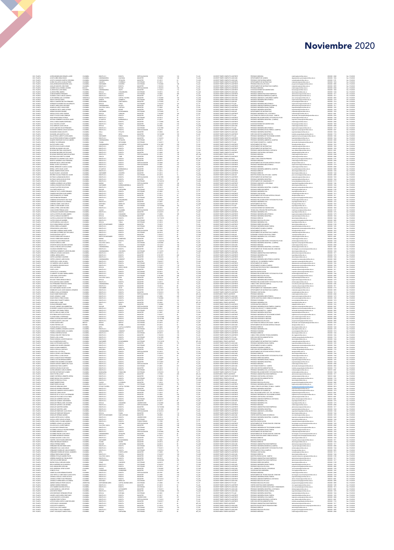## Noviembre 2020

 $\blacksquare$